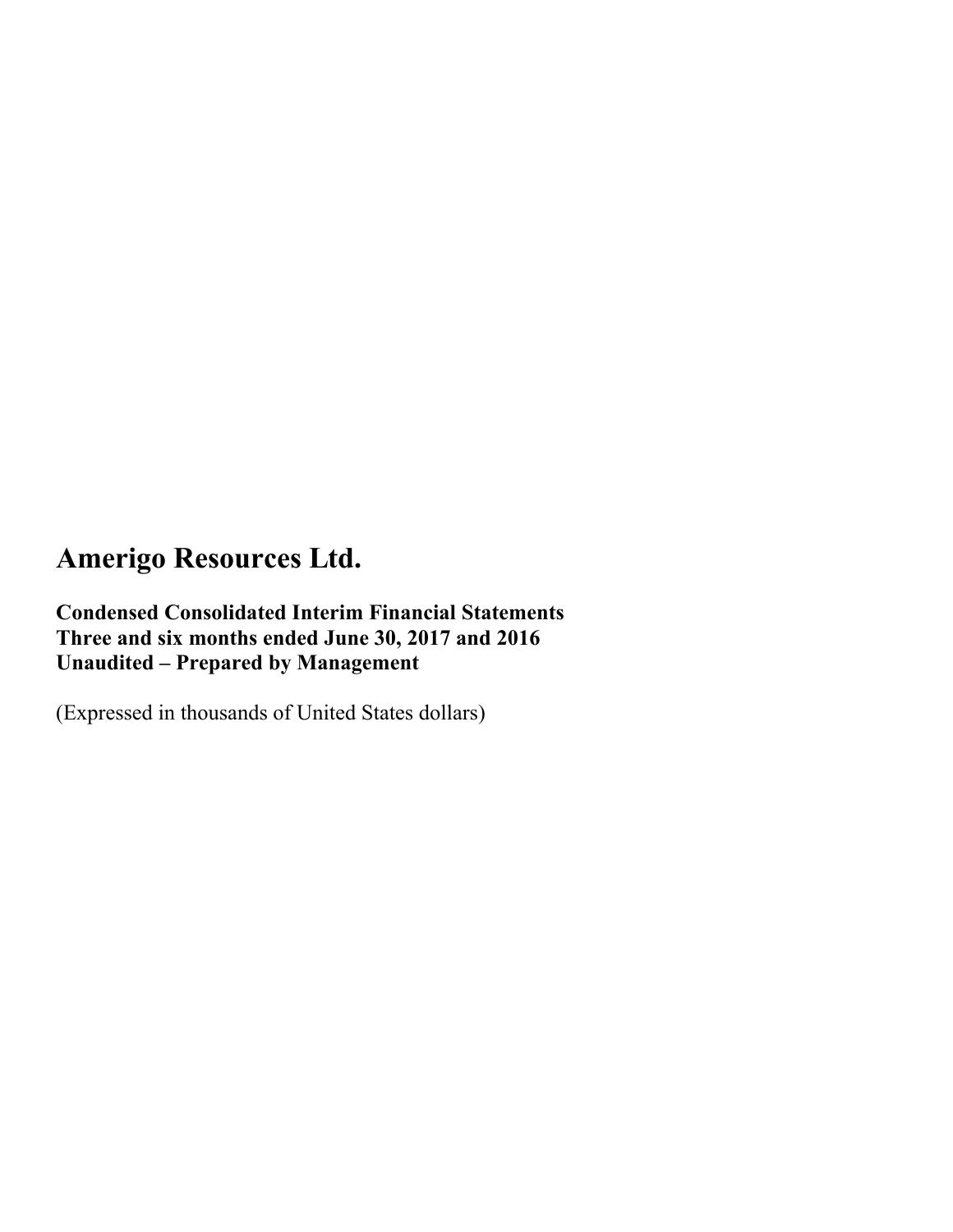**Condensed Consolidated Interim Financial Statements Three and six months ended June 30, 2017 and 2016 Unaudited – Prepared by Management** 

(Expressed in thousands of United States dollars)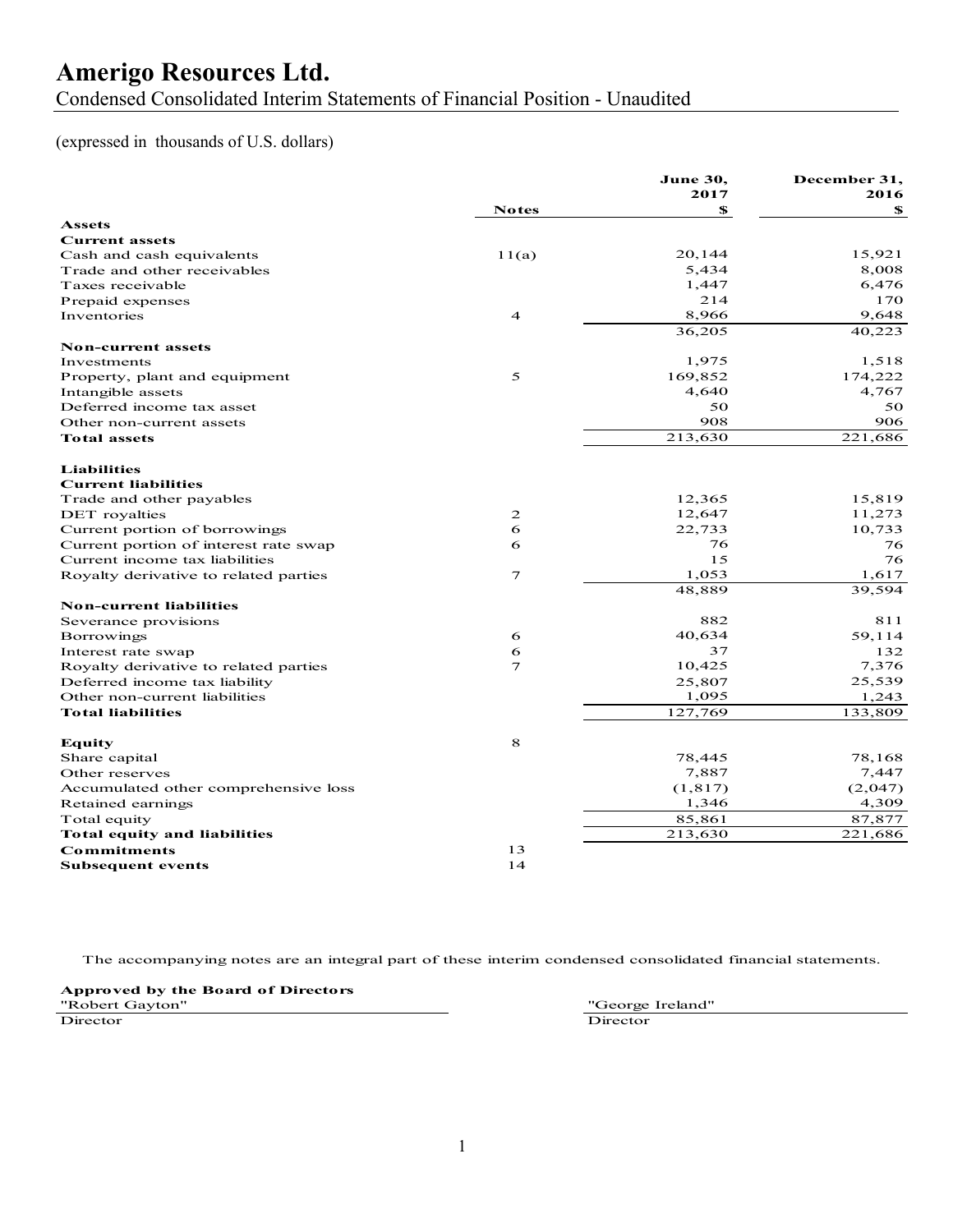Condensed Consolidated Interim Statements of Financial Position - Unaudited

#### (expressed in thousands of U.S. dollars)

| <b>Notes</b><br>\$<br>SS.<br><b>Assets</b><br><b>Current assets</b><br>20,144<br>15,921<br>Cash and cash equivalents<br>11(a)<br>5,434<br>8,008<br>Trade and other receivables<br>1,447<br>6,476<br>Taxes receivable<br>214<br>170<br>Prepaid expenses<br>8,966<br>9,648<br>Inventories<br>$\overline{4}$<br>36,205<br>40,223<br><b>Non-current assets</b><br>1,975<br>1,518<br>Investments<br>169,852<br>5<br>174,222<br>Property, plant and equipment<br>4,767<br>Intangible assets<br>4,640<br>Deferred income tax asset<br>50<br>50<br>908<br>906<br>Other non-current assets<br>213,630<br>221,686<br><b>Total assets</b><br><b>Liabilities</b><br><b>Current liabilities</b><br>12,365<br>15,819<br>Trade and other payables<br>12,647<br>11,273<br>2<br>DET royalties<br>22,733<br>10,733<br>6<br>Current portion of borrowings<br>6<br>76<br>Current portion of interest rate swap<br>76<br>15<br>76<br>Current income tax liabilities<br>$\tau$<br>1,053<br>1,617<br>Royalty derivative to related parties<br>39,594<br>48,889<br><b>Non-current liabilities</b><br>882<br>811<br>Severance provisions<br>40,634<br>59,114<br>Borrowings<br>6<br>37<br>Interest rate swap<br>6<br>132<br>7<br>10,425<br>7,376<br>Royalty derivative to related parties<br>25,539<br>Deferred income tax liability<br>25,807<br>1,095<br>1,243<br>Other non-current liabilities<br>127,769<br>133,809<br><b>Total liabilities</b><br>$\bf8$<br><b>Equity</b><br>78,168<br>78,445<br>Share capital<br>7,887<br>Other reserves<br>7,447<br>(1, 817)<br>(2,047)<br>Accumulated other comprehensive loss<br>1,346<br>4,309<br>Retained earnings<br>85,861<br>87,877<br>Total equity<br>213,630<br>221,686<br><b>Total equity and liabilities</b><br>13<br><b>Commitments</b><br>14<br><b>Subsequent events</b> |  | June 30,<br>2017 | December 31,<br>2016 |
|----------------------------------------------------------------------------------------------------------------------------------------------------------------------------------------------------------------------------------------------------------------------------------------------------------------------------------------------------------------------------------------------------------------------------------------------------------------------------------------------------------------------------------------------------------------------------------------------------------------------------------------------------------------------------------------------------------------------------------------------------------------------------------------------------------------------------------------------------------------------------------------------------------------------------------------------------------------------------------------------------------------------------------------------------------------------------------------------------------------------------------------------------------------------------------------------------------------------------------------------------------------------------------------------------------------------------------------------------------------------------------------------------------------------------------------------------------------------------------------------------------------------------------------------------------------------------------------------------------------------------------------------------------------------------------------------------------------------------------------------------------------------------------------------------|--|------------------|----------------------|
|                                                                                                                                                                                                                                                                                                                                                                                                                                                                                                                                                                                                                                                                                                                                                                                                                                                                                                                                                                                                                                                                                                                                                                                                                                                                                                                                                                                                                                                                                                                                                                                                                                                                                                                                                                                                    |  |                  |                      |
|                                                                                                                                                                                                                                                                                                                                                                                                                                                                                                                                                                                                                                                                                                                                                                                                                                                                                                                                                                                                                                                                                                                                                                                                                                                                                                                                                                                                                                                                                                                                                                                                                                                                                                                                                                                                    |  |                  |                      |
|                                                                                                                                                                                                                                                                                                                                                                                                                                                                                                                                                                                                                                                                                                                                                                                                                                                                                                                                                                                                                                                                                                                                                                                                                                                                                                                                                                                                                                                                                                                                                                                                                                                                                                                                                                                                    |  |                  |                      |
|                                                                                                                                                                                                                                                                                                                                                                                                                                                                                                                                                                                                                                                                                                                                                                                                                                                                                                                                                                                                                                                                                                                                                                                                                                                                                                                                                                                                                                                                                                                                                                                                                                                                                                                                                                                                    |  |                  |                      |
|                                                                                                                                                                                                                                                                                                                                                                                                                                                                                                                                                                                                                                                                                                                                                                                                                                                                                                                                                                                                                                                                                                                                                                                                                                                                                                                                                                                                                                                                                                                                                                                                                                                                                                                                                                                                    |  |                  |                      |
|                                                                                                                                                                                                                                                                                                                                                                                                                                                                                                                                                                                                                                                                                                                                                                                                                                                                                                                                                                                                                                                                                                                                                                                                                                                                                                                                                                                                                                                                                                                                                                                                                                                                                                                                                                                                    |  |                  |                      |
|                                                                                                                                                                                                                                                                                                                                                                                                                                                                                                                                                                                                                                                                                                                                                                                                                                                                                                                                                                                                                                                                                                                                                                                                                                                                                                                                                                                                                                                                                                                                                                                                                                                                                                                                                                                                    |  |                  |                      |
|                                                                                                                                                                                                                                                                                                                                                                                                                                                                                                                                                                                                                                                                                                                                                                                                                                                                                                                                                                                                                                                                                                                                                                                                                                                                                                                                                                                                                                                                                                                                                                                                                                                                                                                                                                                                    |  |                  |                      |
|                                                                                                                                                                                                                                                                                                                                                                                                                                                                                                                                                                                                                                                                                                                                                                                                                                                                                                                                                                                                                                                                                                                                                                                                                                                                                                                                                                                                                                                                                                                                                                                                                                                                                                                                                                                                    |  |                  |                      |
|                                                                                                                                                                                                                                                                                                                                                                                                                                                                                                                                                                                                                                                                                                                                                                                                                                                                                                                                                                                                                                                                                                                                                                                                                                                                                                                                                                                                                                                                                                                                                                                                                                                                                                                                                                                                    |  |                  |                      |
|                                                                                                                                                                                                                                                                                                                                                                                                                                                                                                                                                                                                                                                                                                                                                                                                                                                                                                                                                                                                                                                                                                                                                                                                                                                                                                                                                                                                                                                                                                                                                                                                                                                                                                                                                                                                    |  |                  |                      |
|                                                                                                                                                                                                                                                                                                                                                                                                                                                                                                                                                                                                                                                                                                                                                                                                                                                                                                                                                                                                                                                                                                                                                                                                                                                                                                                                                                                                                                                                                                                                                                                                                                                                                                                                                                                                    |  |                  |                      |
|                                                                                                                                                                                                                                                                                                                                                                                                                                                                                                                                                                                                                                                                                                                                                                                                                                                                                                                                                                                                                                                                                                                                                                                                                                                                                                                                                                                                                                                                                                                                                                                                                                                                                                                                                                                                    |  |                  |                      |
|                                                                                                                                                                                                                                                                                                                                                                                                                                                                                                                                                                                                                                                                                                                                                                                                                                                                                                                                                                                                                                                                                                                                                                                                                                                                                                                                                                                                                                                                                                                                                                                                                                                                                                                                                                                                    |  |                  |                      |
|                                                                                                                                                                                                                                                                                                                                                                                                                                                                                                                                                                                                                                                                                                                                                                                                                                                                                                                                                                                                                                                                                                                                                                                                                                                                                                                                                                                                                                                                                                                                                                                                                                                                                                                                                                                                    |  |                  |                      |
|                                                                                                                                                                                                                                                                                                                                                                                                                                                                                                                                                                                                                                                                                                                                                                                                                                                                                                                                                                                                                                                                                                                                                                                                                                                                                                                                                                                                                                                                                                                                                                                                                                                                                                                                                                                                    |  |                  |                      |
|                                                                                                                                                                                                                                                                                                                                                                                                                                                                                                                                                                                                                                                                                                                                                                                                                                                                                                                                                                                                                                                                                                                                                                                                                                                                                                                                                                                                                                                                                                                                                                                                                                                                                                                                                                                                    |  |                  |                      |
|                                                                                                                                                                                                                                                                                                                                                                                                                                                                                                                                                                                                                                                                                                                                                                                                                                                                                                                                                                                                                                                                                                                                                                                                                                                                                                                                                                                                                                                                                                                                                                                                                                                                                                                                                                                                    |  |                  |                      |
|                                                                                                                                                                                                                                                                                                                                                                                                                                                                                                                                                                                                                                                                                                                                                                                                                                                                                                                                                                                                                                                                                                                                                                                                                                                                                                                                                                                                                                                                                                                                                                                                                                                                                                                                                                                                    |  |                  |                      |
|                                                                                                                                                                                                                                                                                                                                                                                                                                                                                                                                                                                                                                                                                                                                                                                                                                                                                                                                                                                                                                                                                                                                                                                                                                                                                                                                                                                                                                                                                                                                                                                                                                                                                                                                                                                                    |  |                  |                      |
|                                                                                                                                                                                                                                                                                                                                                                                                                                                                                                                                                                                                                                                                                                                                                                                                                                                                                                                                                                                                                                                                                                                                                                                                                                                                                                                                                                                                                                                                                                                                                                                                                                                                                                                                                                                                    |  |                  |                      |
|                                                                                                                                                                                                                                                                                                                                                                                                                                                                                                                                                                                                                                                                                                                                                                                                                                                                                                                                                                                                                                                                                                                                                                                                                                                                                                                                                                                                                                                                                                                                                                                                                                                                                                                                                                                                    |  |                  |                      |
|                                                                                                                                                                                                                                                                                                                                                                                                                                                                                                                                                                                                                                                                                                                                                                                                                                                                                                                                                                                                                                                                                                                                                                                                                                                                                                                                                                                                                                                                                                                                                                                                                                                                                                                                                                                                    |  |                  |                      |
|                                                                                                                                                                                                                                                                                                                                                                                                                                                                                                                                                                                                                                                                                                                                                                                                                                                                                                                                                                                                                                                                                                                                                                                                                                                                                                                                                                                                                                                                                                                                                                                                                                                                                                                                                                                                    |  |                  |                      |
|                                                                                                                                                                                                                                                                                                                                                                                                                                                                                                                                                                                                                                                                                                                                                                                                                                                                                                                                                                                                                                                                                                                                                                                                                                                                                                                                                                                                                                                                                                                                                                                                                                                                                                                                                                                                    |  |                  |                      |
|                                                                                                                                                                                                                                                                                                                                                                                                                                                                                                                                                                                                                                                                                                                                                                                                                                                                                                                                                                                                                                                                                                                                                                                                                                                                                                                                                                                                                                                                                                                                                                                                                                                                                                                                                                                                    |  |                  |                      |
|                                                                                                                                                                                                                                                                                                                                                                                                                                                                                                                                                                                                                                                                                                                                                                                                                                                                                                                                                                                                                                                                                                                                                                                                                                                                                                                                                                                                                                                                                                                                                                                                                                                                                                                                                                                                    |  |                  |                      |
|                                                                                                                                                                                                                                                                                                                                                                                                                                                                                                                                                                                                                                                                                                                                                                                                                                                                                                                                                                                                                                                                                                                                                                                                                                                                                                                                                                                                                                                                                                                                                                                                                                                                                                                                                                                                    |  |                  |                      |
|                                                                                                                                                                                                                                                                                                                                                                                                                                                                                                                                                                                                                                                                                                                                                                                                                                                                                                                                                                                                                                                                                                                                                                                                                                                                                                                                                                                                                                                                                                                                                                                                                                                                                                                                                                                                    |  |                  |                      |
|                                                                                                                                                                                                                                                                                                                                                                                                                                                                                                                                                                                                                                                                                                                                                                                                                                                                                                                                                                                                                                                                                                                                                                                                                                                                                                                                                                                                                                                                                                                                                                                                                                                                                                                                                                                                    |  |                  |                      |
|                                                                                                                                                                                                                                                                                                                                                                                                                                                                                                                                                                                                                                                                                                                                                                                                                                                                                                                                                                                                                                                                                                                                                                                                                                                                                                                                                                                                                                                                                                                                                                                                                                                                                                                                                                                                    |  |                  |                      |
|                                                                                                                                                                                                                                                                                                                                                                                                                                                                                                                                                                                                                                                                                                                                                                                                                                                                                                                                                                                                                                                                                                                                                                                                                                                                                                                                                                                                                                                                                                                                                                                                                                                                                                                                                                                                    |  |                  |                      |
|                                                                                                                                                                                                                                                                                                                                                                                                                                                                                                                                                                                                                                                                                                                                                                                                                                                                                                                                                                                                                                                                                                                                                                                                                                                                                                                                                                                                                                                                                                                                                                                                                                                                                                                                                                                                    |  |                  |                      |
|                                                                                                                                                                                                                                                                                                                                                                                                                                                                                                                                                                                                                                                                                                                                                                                                                                                                                                                                                                                                                                                                                                                                                                                                                                                                                                                                                                                                                                                                                                                                                                                                                                                                                                                                                                                                    |  |                  |                      |
|                                                                                                                                                                                                                                                                                                                                                                                                                                                                                                                                                                                                                                                                                                                                                                                                                                                                                                                                                                                                                                                                                                                                                                                                                                                                                                                                                                                                                                                                                                                                                                                                                                                                                                                                                                                                    |  |                  |                      |
|                                                                                                                                                                                                                                                                                                                                                                                                                                                                                                                                                                                                                                                                                                                                                                                                                                                                                                                                                                                                                                                                                                                                                                                                                                                                                                                                                                                                                                                                                                                                                                                                                                                                                                                                                                                                    |  |                  |                      |
|                                                                                                                                                                                                                                                                                                                                                                                                                                                                                                                                                                                                                                                                                                                                                                                                                                                                                                                                                                                                                                                                                                                                                                                                                                                                                                                                                                                                                                                                                                                                                                                                                                                                                                                                                                                                    |  |                  |                      |
|                                                                                                                                                                                                                                                                                                                                                                                                                                                                                                                                                                                                                                                                                                                                                                                                                                                                                                                                                                                                                                                                                                                                                                                                                                                                                                                                                                                                                                                                                                                                                                                                                                                                                                                                                                                                    |  |                  |                      |
|                                                                                                                                                                                                                                                                                                                                                                                                                                                                                                                                                                                                                                                                                                                                                                                                                                                                                                                                                                                                                                                                                                                                                                                                                                                                                                                                                                                                                                                                                                                                                                                                                                                                                                                                                                                                    |  |                  |                      |
|                                                                                                                                                                                                                                                                                                                                                                                                                                                                                                                                                                                                                                                                                                                                                                                                                                                                                                                                                                                                                                                                                                                                                                                                                                                                                                                                                                                                                                                                                                                                                                                                                                                                                                                                                                                                    |  |                  |                      |
|                                                                                                                                                                                                                                                                                                                                                                                                                                                                                                                                                                                                                                                                                                                                                                                                                                                                                                                                                                                                                                                                                                                                                                                                                                                                                                                                                                                                                                                                                                                                                                                                                                                                                                                                                                                                    |  |                  |                      |
|                                                                                                                                                                                                                                                                                                                                                                                                                                                                                                                                                                                                                                                                                                                                                                                                                                                                                                                                                                                                                                                                                                                                                                                                                                                                                                                                                                                                                                                                                                                                                                                                                                                                                                                                                                                                    |  |                  |                      |
|                                                                                                                                                                                                                                                                                                                                                                                                                                                                                                                                                                                                                                                                                                                                                                                                                                                                                                                                                                                                                                                                                                                                                                                                                                                                                                                                                                                                                                                                                                                                                                                                                                                                                                                                                                                                    |  |                  |                      |

The accompanying notes are an integral part of these interim condensed consolidated financial statements.

**Approved by the Board of Directors** "Robert Gayton"<br>"Robert Gayton" Mobert Gayton" Director Director Director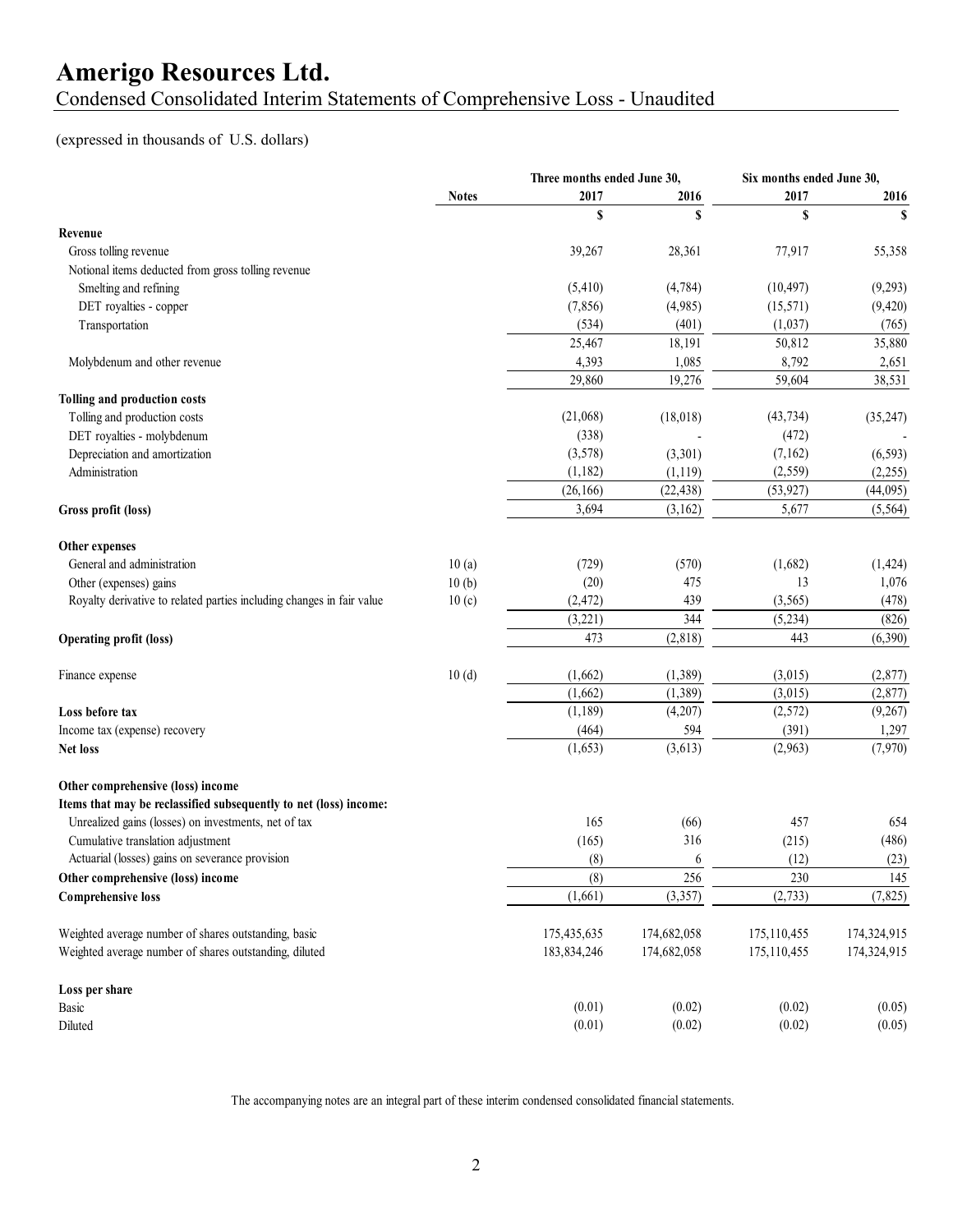Condensed Consolidated Interim Statements of Comprehensive Loss - Unaudited

#### (expressed in thousands of U.S. dollars)

|                                                                                                                           |              | Three months ended June 30, |             | Six months ended June 30, |             |
|---------------------------------------------------------------------------------------------------------------------------|--------------|-----------------------------|-------------|---------------------------|-------------|
|                                                                                                                           | <b>Notes</b> | 2017                        | 2016        | 2017                      | 2016        |
|                                                                                                                           |              | S                           | \$          | $\mathbf S$               | $\mathbf S$ |
| Revenue                                                                                                                   |              |                             |             |                           |             |
| Gross tolling revenue                                                                                                     |              | 39,267                      | 28,361      | 77,917                    | 55,358      |
| Notional items deducted from gross tolling revenue                                                                        |              |                             |             |                           |             |
| Smelting and refining                                                                                                     |              | (5,410)                     | (4,784)     | (10, 497)                 | (9,293)     |
| DET royalties - copper                                                                                                    |              | (7, 856)                    | (4,985)     | (15, 571)                 | (9, 420)    |
| Transportation                                                                                                            |              | (534)                       | (401)       | (1,037)                   | (765)       |
|                                                                                                                           |              | 25,467                      | 18,191      | 50,812                    | 35,880      |
| Molybdenum and other revenue                                                                                              |              | 4,393                       | 1,085       | 8,792                     | 2,651       |
|                                                                                                                           |              | 29,860                      | 19,276      | 59,604                    | 38,531      |
| <b>Tolling and production costs</b>                                                                                       |              |                             |             |                           |             |
| Tolling and production costs                                                                                              |              | (21,068)                    | (18, 018)   | (43, 734)                 | (35, 247)   |
| DET royalties - molybdenum                                                                                                |              | (338)                       |             | (472)                     |             |
| Depreciation and amortization                                                                                             |              | (3,578)                     | (3,301)     | (7,162)                   | (6, 593)    |
| Administration                                                                                                            |              | (1,182)                     | (1,119)     | (2,559)                   | (2,255)     |
|                                                                                                                           |              | (26, 166)                   | (22, 438)   | (53, 927)                 | (44,095)    |
| Gross profit (loss)                                                                                                       |              | 3,694                       | (3,162)     | 5,677                     | (5, 564)    |
|                                                                                                                           |              |                             |             |                           |             |
| Other expenses                                                                                                            |              |                             |             |                           |             |
| General and administration                                                                                                | 10(a)        | (729)                       | (570)       | (1,682)                   | (1, 424)    |
| Other (expenses) gains                                                                                                    | 10(b)        | (20)                        | 475         | 13                        | 1,076       |
| Royalty derivative to related parties including changes in fair value                                                     | 10(c)        | (2, 472)                    | 439         | (3, 565)                  | (478)       |
|                                                                                                                           |              | (3,221)                     | 344         | (5,234)                   | (826)       |
| <b>Operating profit (loss)</b>                                                                                            |              | 473                         | (2,818)     | 443                       | (6,390)     |
| Finance expense                                                                                                           | 10(d)        | (1,662)                     | (1, 389)    | (3,015)                   | (2,877)     |
|                                                                                                                           |              | (1,662)                     | (1,389)     | (3,015)                   | (2,877)     |
| Loss before tax                                                                                                           |              | (1, 189)                    | (4,207)     | (2,572)                   | (9,267)     |
| Income tax (expense) recovery                                                                                             |              | (464)                       | 594         | (391)                     | 1,297       |
| Net loss                                                                                                                  |              | (1,653)                     | (3,613)     | (2,963)                   | (7,970)     |
|                                                                                                                           |              |                             |             |                           |             |
| Other comprehensive (loss) income                                                                                         |              |                             |             |                           |             |
| Items that may be reclassified subsequently to net (loss) income:<br>Unrealized gains (losses) on investments, net of tax |              |                             |             |                           | 654         |
|                                                                                                                           |              | 165                         | (66)        | 457                       |             |
| Cumulative translation adjustment                                                                                         |              | (165)                       | 316         | (215)                     | (486)       |
| Actuarial (losses) gains on severance provision                                                                           |              | (8)                         | 6           | (12)                      | (23)        |
| Other comprehensive (loss) income                                                                                         |              | (8)                         | 256         | 230                       | 145         |
| <b>Comprehensive loss</b>                                                                                                 |              | (1,661)                     | (3, 357)    | (2,733)                   | (7, 825)    |
| Weighted average number of shares outstanding, basic                                                                      |              | 175,435,635                 | 174,682,058 | 175,110,455               | 174,324,915 |
| Weighted average number of shares outstanding, diluted                                                                    |              | 183,834,246                 | 174,682,058 | 175,110,455               | 174,324,915 |
| Loss per share                                                                                                            |              |                             |             |                           |             |
| Basic                                                                                                                     |              | (0.01)                      | (0.02)      | (0.02)                    | (0.05)      |
| Diluted                                                                                                                   |              | (0.01)                      | (0.02)      | (0.02)                    | (0.05)      |
|                                                                                                                           |              |                             |             |                           |             |

The accompanying notes are an integral part of these interim condensed consolidated financial statements.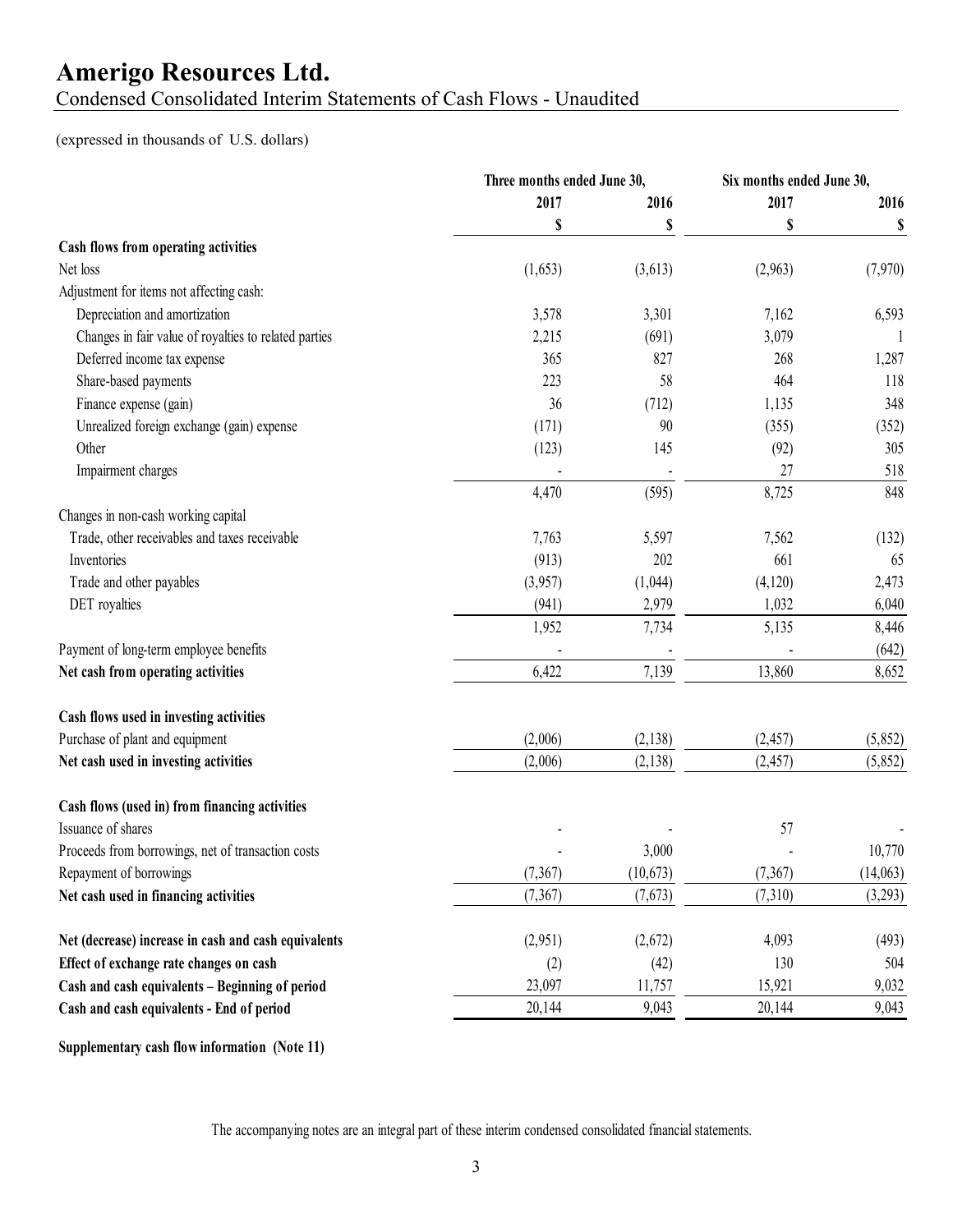### Condensed Consolidated Interim Statements of Cash Flows - Unaudited

(expressed in thousands of U.S. dollars)

|                                                       | Three months ended June 30, |           | Six months ended June 30, |          |  |
|-------------------------------------------------------|-----------------------------|-----------|---------------------------|----------|--|
|                                                       | 2017                        | 2016      | 2017                      | 2016     |  |
|                                                       | \$                          | \$        | \$                        | \$       |  |
| Cash flows from operating activities                  |                             |           |                           |          |  |
| Net loss                                              | (1,653)                     | (3,613)   | (2,963)                   | (7,970)  |  |
| Adjustment for items not affecting cash:              |                             |           |                           |          |  |
| Depreciation and amortization                         | 3,578                       | 3,301     | 7,162                     | 6,593    |  |
| Changes in fair value of royalties to related parties | 2,215                       | (691)     | 3,079                     |          |  |
| Deferred income tax expense                           | 365                         | 827       | 268                       | 1,287    |  |
| Share-based payments                                  | 223                         | 58        | 464                       | 118      |  |
| Finance expense (gain)                                | 36                          | (712)     | 1,135                     | 348      |  |
| Unrealized foreign exchange (gain) expense            | (171)                       | 90        | (355)                     | (352)    |  |
| Other                                                 | (123)                       | 145       | (92)                      | 305      |  |
| Impairment charges                                    |                             |           | 27                        | 518      |  |
|                                                       | 4,470                       | (595)     | 8,725                     | 848      |  |
| Changes in non-cash working capital                   |                             |           |                           |          |  |
| Trade, other receivables and taxes receivable         | 7,763                       | 5,597     | 7,562                     | (132)    |  |
| Inventories                                           | (913)                       | 202       | 661                       | 65       |  |
| Trade and other payables                              | (3,957)                     | (1,044)   | (4,120)                   | 2,473    |  |
| DET royalties                                         | (941)                       | 2,979     | 1,032                     | 6,040    |  |
|                                                       | 1,952                       | 7,734     | 5,135                     | 8,446    |  |
| Payment of long-term employee benefits                |                             |           |                           | (642)    |  |
| Net cash from operating activities                    | 6,422                       | 7,139     | 13,860                    | 8,652    |  |
| Cash flows used in investing activities               |                             |           |                           |          |  |
| Purchase of plant and equipment                       | (2,006)                     | (2, 138)  | (2, 457)                  | (5,852)  |  |
| Net cash used in investing activities                 | (2,006)                     | (2,138)   | (2, 457)                  | (5,852)  |  |
| Cash flows (used in) from financing activities        |                             |           |                           |          |  |
| Issuance of shares                                    |                             |           | 57                        |          |  |
| Proceeds from borrowings, net of transaction costs    |                             | 3,000     |                           | 10,770   |  |
| Repayment of borrowings                               | (7,367)                     | (10, 673) | (7,367)                   | (14,063) |  |
| Net cash used in financing activities                 | (7,367)                     | (7,673)   | (7,310)                   | (3,293)  |  |
| Net (decrease) increase in cash and cash equivalents  | (2,951)                     | (2,672)   | 4,093                     | (493)    |  |
| Effect of exchange rate changes on cash               | (2)                         | (42)      | 130                       | 504      |  |
| Cash and cash equivalents - Beginning of period       | 23,097                      | 11,757    | 15,921                    | 9,032    |  |
| Cash and cash equivalents - End of period             | 20,144                      | 9,043     | 20,144                    | 9,043    |  |
|                                                       |                             |           |                           |          |  |

**Supplementary cash flow information (Note 11)**

The accompanying notes are an integral part of these interim condensed consolidated financial statements.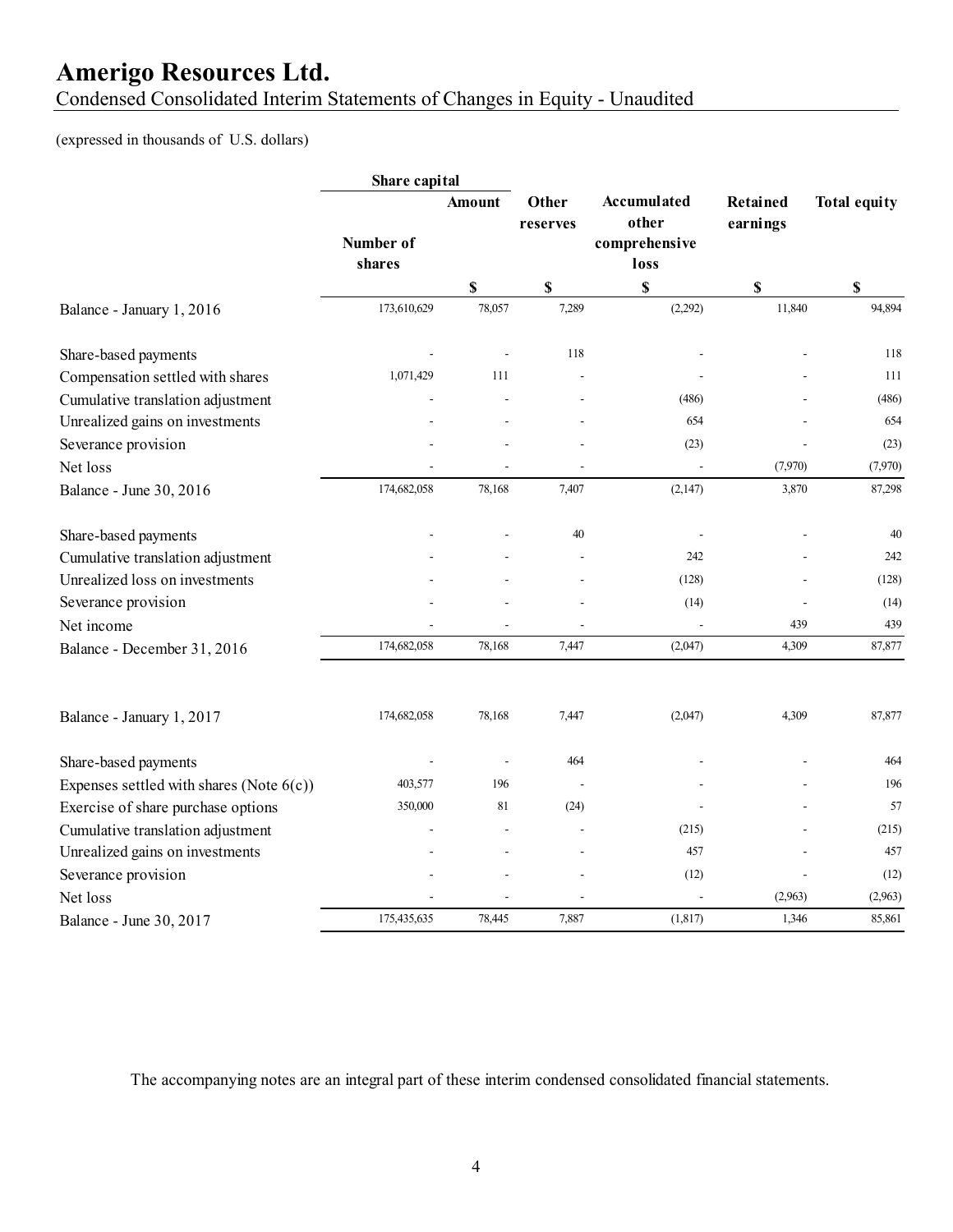Condensed Consolidated Interim Statements of Changes in Equity - Unaudited

#### (expressed in thousands of U.S. dollars)

|                                             | Share capital |              |                   |                                              |                             |                     |
|---------------------------------------------|---------------|--------------|-------------------|----------------------------------------------|-----------------------------|---------------------|
|                                             | Number of     | Amount       | Other<br>reserves | <b>Accumulated</b><br>other<br>comprehensive | <b>Retained</b><br>earnings | <b>Total equity</b> |
|                                             | shares        |              |                   | loss                                         |                             |                     |
| Balance - January 1, 2016                   | 173,610,629   | \$<br>78,057 | \$<br>7,289       | \$<br>(2,292)                                | $\mathbb S$<br>11,840       | \$<br>94,894        |
| Share-based payments                        |               |              | 118               |                                              |                             | 118                 |
| Compensation settled with shares            | 1,071,429     | 111          |                   |                                              |                             | 111                 |
| Cumulative translation adjustment           |               |              |                   | (486)                                        |                             | (486)               |
| Unrealized gains on investments             |               |              |                   | 654                                          |                             | 654                 |
| Severance provision                         |               |              |                   | (23)                                         |                             | (23)                |
| Net loss                                    |               |              |                   |                                              | (7,970)                     | (7,970)             |
| Balance - June 30, 2016                     | 174,682,058   | 78,168       | 7,407             | (2,147)                                      | 3,870                       | 87,298              |
| Share-based payments                        |               |              | 40                |                                              |                             | 40                  |
| Cumulative translation adjustment           |               |              |                   | 242                                          |                             | 242                 |
| Unrealized loss on investments              |               |              |                   | (128)                                        |                             | (128)               |
| Severance provision                         |               |              |                   | (14)                                         |                             | (14)                |
| Net income                                  |               |              |                   |                                              | 439                         | 439                 |
| Balance - December 31, 2016                 | 174,682,058   | 78,168       | 7.447             | (2,047)                                      | 4,309                       | 87,877              |
| Balance - January 1, 2017                   | 174,682,058   | 78,168       | 7,447             | (2,047)                                      | 4,309                       | 87,877              |
| Share-based payments                        |               |              | 464               |                                              |                             | 464                 |
| Expenses settled with shares (Note $6(c)$ ) | 403,577       | 196          |                   |                                              |                             | 196                 |
| Exercise of share purchase options          | 350,000       | 81           | (24)              |                                              |                             | 57                  |
| Cumulative translation adjustment           |               |              |                   | (215)                                        |                             | (215)               |
| Unrealized gains on investments             |               |              |                   | 457                                          |                             | 457                 |
| Severance provision                         |               |              |                   | (12)                                         |                             | (12)                |
| Net loss                                    |               |              |                   |                                              | (2,963)                     | (2,963)             |
| Balance - June 30, 2017                     | 175,435,635   | 78,445       | 7,887             | (1, 817)                                     | 1,346                       | 85,861              |

The accompanying notes are an integral part of these interim condensed consolidated financial statements.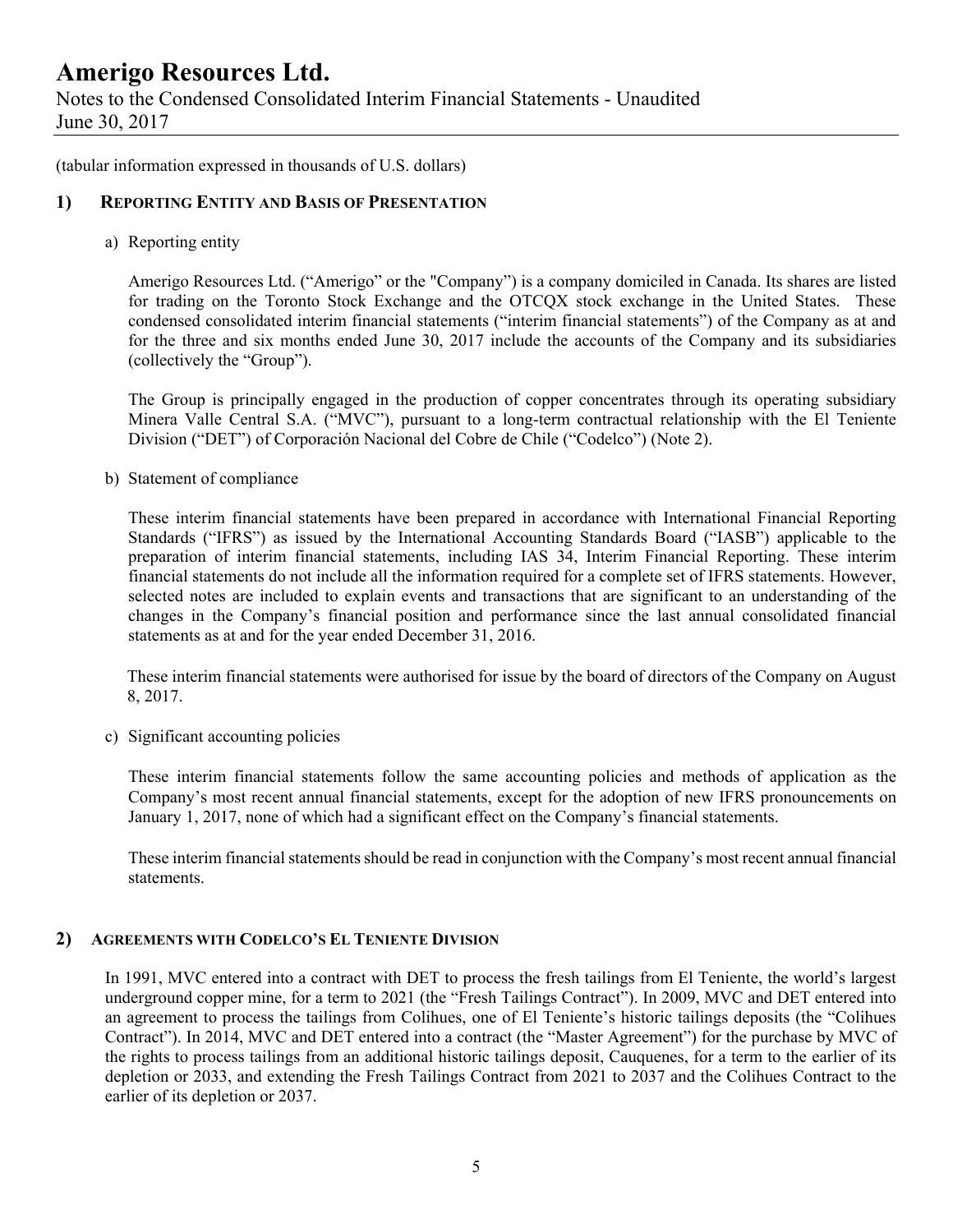Notes to the Condensed Consolidated Interim Financial Statements - Unaudited June 30, 2017

(tabular information expressed in thousands of U.S. dollars)

#### **1) REPORTING ENTITY AND BASIS OF PRESENTATION**

a) Reporting entity

Amerigo Resources Ltd. ("Amerigo" or the "Company") is a company domiciled in Canada. Its shares are listed for trading on the Toronto Stock Exchange and the OTCQX stock exchange in the United States. These condensed consolidated interim financial statements ("interim financial statements") of the Company as at and for the three and six months ended June 30, 2017 include the accounts of the Company and its subsidiaries (collectively the "Group").

The Group is principally engaged in the production of copper concentrates through its operating subsidiary Minera Valle Central S.A. ("MVC"), pursuant to a long-term contractual relationship with the El Teniente Division ("DET") of Corporación Nacional del Cobre de Chile ("Codelco") (Note 2).

b) Statement of compliance

These interim financial statements have been prepared in accordance with International Financial Reporting Standards ("IFRS") as issued by the International Accounting Standards Board ("IASB") applicable to the preparation of interim financial statements, including IAS 34, Interim Financial Reporting. These interim financial statements do not include all the information required for a complete set of IFRS statements. However, selected notes are included to explain events and transactions that are significant to an understanding of the changes in the Company's financial position and performance since the last annual consolidated financial statements as at and for the year ended December 31, 2016.

 These interim financial statements were authorised for issue by the board of directors of the Company on August 8, 2017.

c) Significant accounting policies

These interim financial statements follow the same accounting policies and methods of application as the Company's most recent annual financial statements, except for the adoption of new IFRS pronouncements on January 1, 2017, none of which had a significant effect on the Company's financial statements.

These interim financial statements should be read in conjunction with the Company's most recent annual financial statements.

#### **2) AGREEMENTS WITH CODELCO'S EL TENIENTE DIVISION**

In 1991, MVC entered into a contract with DET to process the fresh tailings from El Teniente, the world's largest underground copper mine, for a term to 2021 (the "Fresh Tailings Contract"). In 2009, MVC and DET entered into an agreement to process the tailings from Colihues, one of El Teniente's historic tailings deposits (the "Colihues Contract"). In 2014, MVC and DET entered into a contract (the "Master Agreement") for the purchase by MVC of the rights to process tailings from an additional historic tailings deposit, Cauquenes, for a term to the earlier of its depletion or 2033, and extending the Fresh Tailings Contract from 2021 to 2037 and the Colihues Contract to the earlier of its depletion or 2037.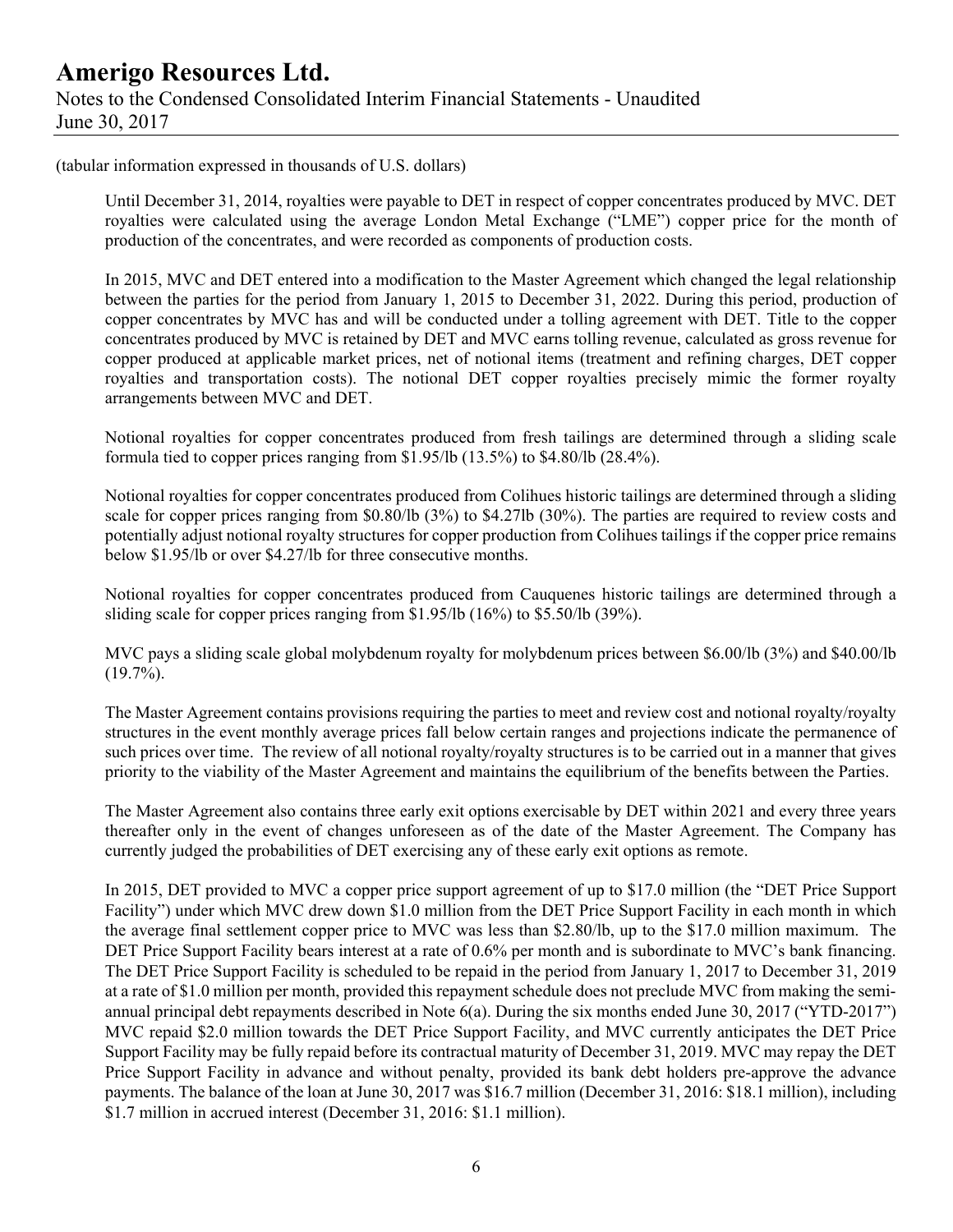(tabular information expressed in thousands of U.S. dollars)

Until December 31, 2014, royalties were payable to DET in respect of copper concentrates produced by MVC. DET royalties were calculated using the average London Metal Exchange ("LME") copper price for the month of production of the concentrates, and were recorded as components of production costs.

In 2015, MVC and DET entered into a modification to the Master Agreement which changed the legal relationship between the parties for the period from January 1, 2015 to December 31, 2022. During this period, production of copper concentrates by MVC has and will be conducted under a tolling agreement with DET. Title to the copper concentrates produced by MVC is retained by DET and MVC earns tolling revenue, calculated as gross revenue for copper produced at applicable market prices, net of notional items (treatment and refining charges, DET copper royalties and transportation costs). The notional DET copper royalties precisely mimic the former royalty arrangements between MVC and DET.

Notional royalties for copper concentrates produced from fresh tailings are determined through a sliding scale formula tied to copper prices ranging from \$1.95/lb (13.5%) to \$4.80/lb (28.4%).

Notional royalties for copper concentrates produced from Colihues historic tailings are determined through a sliding scale for copper prices ranging from \$0.80/lb (3%) to \$4.27lb (30%). The parties are required to review costs and potentially adjust notional royalty structures for copper production from Colihues tailings if the copper price remains below \$1.95/lb or over \$4.27/lb for three consecutive months.

Notional royalties for copper concentrates produced from Cauquenes historic tailings are determined through a sliding scale for copper prices ranging from \$1.95/lb (16%) to \$5.50/lb (39%).

MVC pays a sliding scale global molybdenum royalty for molybdenum prices between \$6.00/lb (3%) and \$40.00/lb  $(19.7\%)$ .

The Master Agreement contains provisions requiring the parties to meet and review cost and notional royalty/royalty structures in the event monthly average prices fall below certain ranges and projections indicate the permanence of such prices over time. The review of all notional royalty/royalty structures is to be carried out in a manner that gives priority to the viability of the Master Agreement and maintains the equilibrium of the benefits between the Parties.

The Master Agreement also contains three early exit options exercisable by DET within 2021 and every three years thereafter only in the event of changes unforeseen as of the date of the Master Agreement. The Company has currently judged the probabilities of DET exercising any of these early exit options as remote.

In 2015, DET provided to MVC a copper price support agreement of up to \$17.0 million (the "DET Price Support Facility") under which MVC drew down \$1.0 million from the DET Price Support Facility in each month in which the average final settlement copper price to MVC was less than \$2.80/lb, up to the \$17.0 million maximum. The DET Price Support Facility bears interest at a rate of 0.6% per month and is subordinate to MVC's bank financing. The DET Price Support Facility is scheduled to be repaid in the period from January 1, 2017 to December 31, 2019 at a rate of \$1.0 million per month, provided this repayment schedule does not preclude MVC from making the semiannual principal debt repayments described in Note 6(a). During the six months ended June 30, 2017 ("YTD-2017") MVC repaid \$2.0 million towards the DET Price Support Facility, and MVC currently anticipates the DET Price Support Facility may be fully repaid before its contractual maturity of December 31, 2019. MVC may repay the DET Price Support Facility in advance and without penalty, provided its bank debt holders pre-approve the advance payments. The balance of the loan at June 30, 2017 was \$16.7 million (December 31, 2016: \$18.1 million), including \$1.7 million in accrued interest (December 31, 2016: \$1.1 million).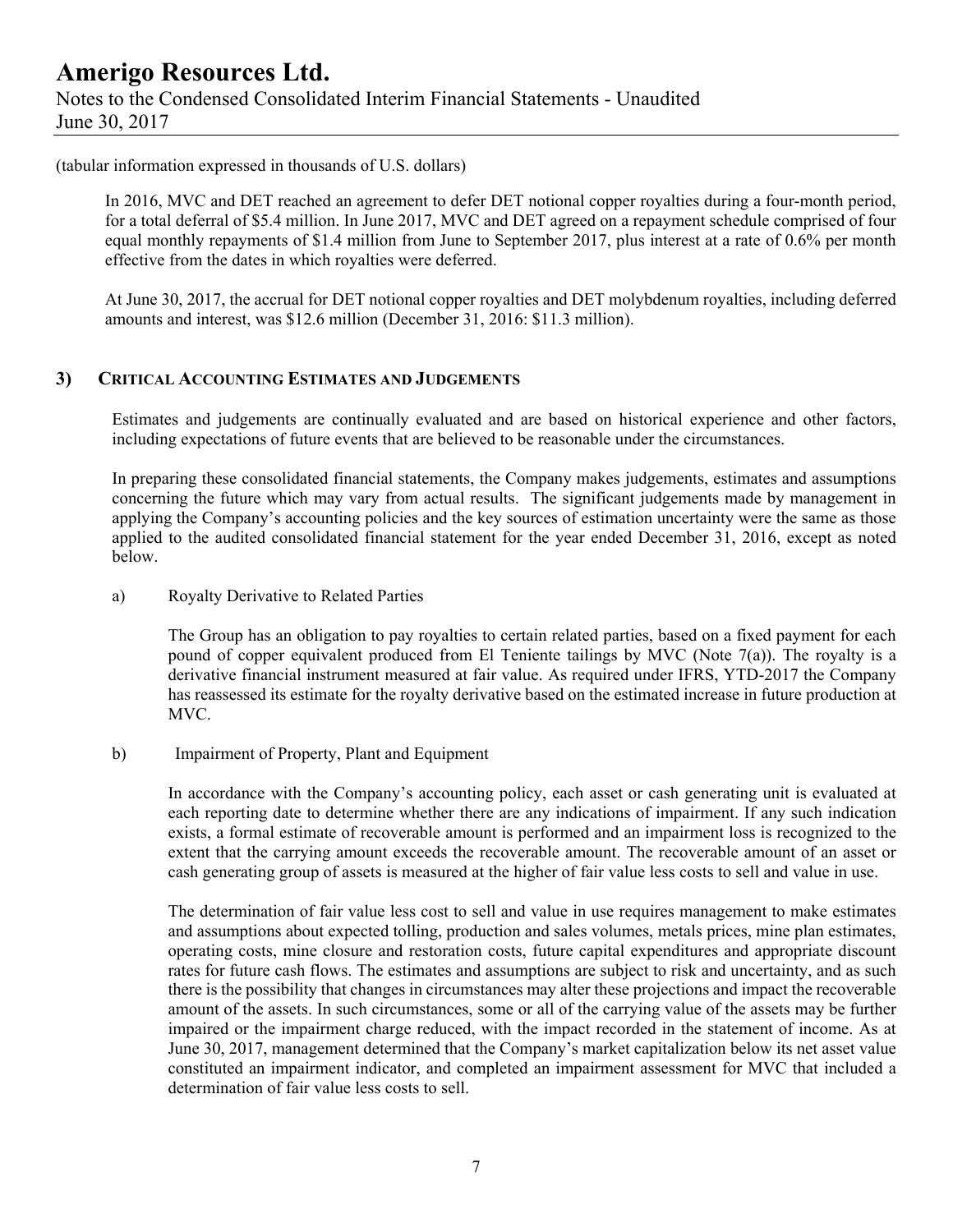### **Amerigo Resources Ltd.**  Notes to the Condensed Consolidated Interim Financial Statements - Unaudited June 30, 2017

#### (tabular information expressed in thousands of U.S. dollars)

In 2016, MVC and DET reached an agreement to defer DET notional copper royalties during a four-month period, for a total deferral of \$5.4 million. In June 2017, MVC and DET agreed on a repayment schedule comprised of four equal monthly repayments of \$1.4 million from June to September 2017, plus interest at a rate of 0.6% per month effective from the dates in which royalties were deferred.

At June 30, 2017, the accrual for DET notional copper royalties and DET molybdenum royalties, including deferred amounts and interest, was \$12.6 million (December 31, 2016: \$11.3 million).

#### **3) CRITICAL ACCOUNTING ESTIMATES AND JUDGEMENTS**

Estimates and judgements are continually evaluated and are based on historical experience and other factors, including expectations of future events that are believed to be reasonable under the circumstances.

In preparing these consolidated financial statements, the Company makes judgements, estimates and assumptions concerning the future which may vary from actual results. The significant judgements made by management in applying the Company's accounting policies and the key sources of estimation uncertainty were the same as those applied to the audited consolidated financial statement for the year ended December 31, 2016, except as noted below.

#### a) Royalty Derivative to Related Parties

The Group has an obligation to pay royalties to certain related parties, based on a fixed payment for each pound of copper equivalent produced from El Teniente tailings by MVC (Note 7(a)). The royalty is a derivative financial instrument measured at fair value. As required under IFRS, YTD-2017 the Company has reassessed its estimate for the royalty derivative based on the estimated increase in future production at MVC.

#### b) Impairment of Property, Plant and Equipment

In accordance with the Company's accounting policy, each asset or cash generating unit is evaluated at each reporting date to determine whether there are any indications of impairment. If any such indication exists, a formal estimate of recoverable amount is performed and an impairment loss is recognized to the extent that the carrying amount exceeds the recoverable amount. The recoverable amount of an asset or cash generating group of assets is measured at the higher of fair value less costs to sell and value in use.

The determination of fair value less cost to sell and value in use requires management to make estimates and assumptions about expected tolling, production and sales volumes, metals prices, mine plan estimates, operating costs, mine closure and restoration costs, future capital expenditures and appropriate discount rates for future cash flows. The estimates and assumptions are subject to risk and uncertainty, and as such there is the possibility that changes in circumstances may alter these projections and impact the recoverable amount of the assets. In such circumstances, some or all of the carrying value of the assets may be further impaired or the impairment charge reduced, with the impact recorded in the statement of income. As at June 30, 2017, management determined that the Company's market capitalization below its net asset value constituted an impairment indicator, and completed an impairment assessment for MVC that included a determination of fair value less costs to sell.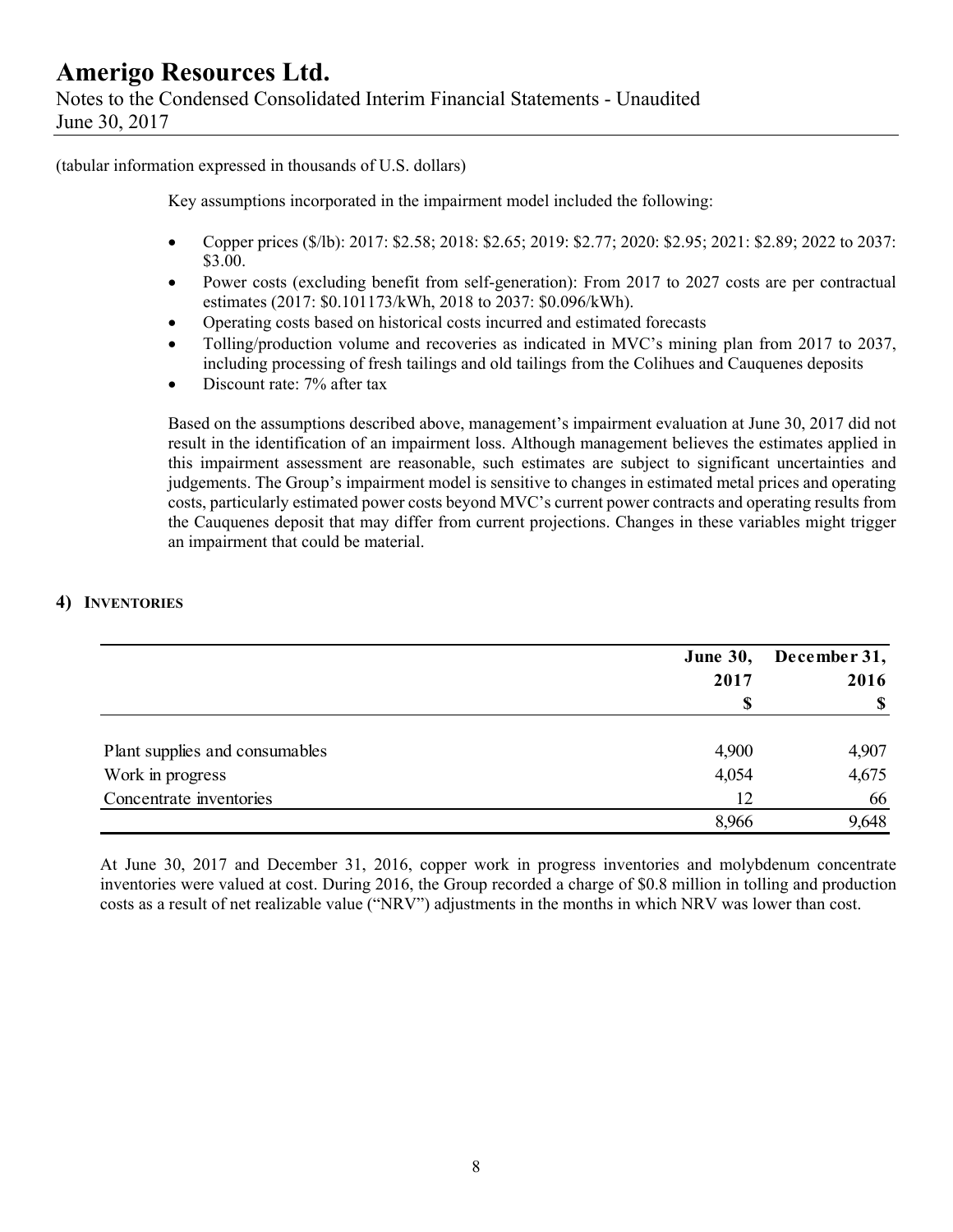(tabular information expressed in thousands of U.S. dollars)

Key assumptions incorporated in the impairment model included the following:

- Copper prices (\$/lb): 2017: \$2.58; 2018: \$2.65; 2019: \$2.77; 2020: \$2.95; 2021: \$2.89; 2022 to 2037: \$3.00.
- Power costs (excluding benefit from self-generation): From 2017 to 2027 costs are per contractual estimates (2017: \$0.101173/kWh, 2018 to 2037: \$0.096/kWh).
- Operating costs based on historical costs incurred and estimated forecasts
- Tolling/production volume and recoveries as indicated in MVC's mining plan from 2017 to 2037, including processing of fresh tailings and old tailings from the Colihues and Cauquenes deposits
- Discount rate: 7% after tax

Based on the assumptions described above, management's impairment evaluation at June 30, 2017 did not result in the identification of an impairment loss. Although management believes the estimates applied in this impairment assessment are reasonable, such estimates are subject to significant uncertainties and judgements. The Group's impairment model is sensitive to changes in estimated metal prices and operating costs, particularly estimated power costs beyond MVC's current power contracts and operating results from the Cauquenes deposit that may differ from current projections. Changes in these variables might trigger an impairment that could be material.

#### **4) INVENTORIES**

|                                | <b>June 30,</b><br>2017 | December 31,<br>2016 |
|--------------------------------|-------------------------|----------------------|
|                                |                         | $\mathbf S$          |
|                                |                         |                      |
| Plant supplies and consumables | 4,900                   | 4,907                |
| Work in progress               | 4,054                   | 4,675                |
| Concentrate inventories        | 12                      | 66                   |
|                                | 8,966                   | 9,648                |

At June 30, 2017 and December 31, 2016, copper work in progress inventories and molybdenum concentrate inventories were valued at cost. During 2016, the Group recorded a charge of \$0.8 million in tolling and production costs as a result of net realizable value ("NRV") adjustments in the months in which NRV was lower than cost.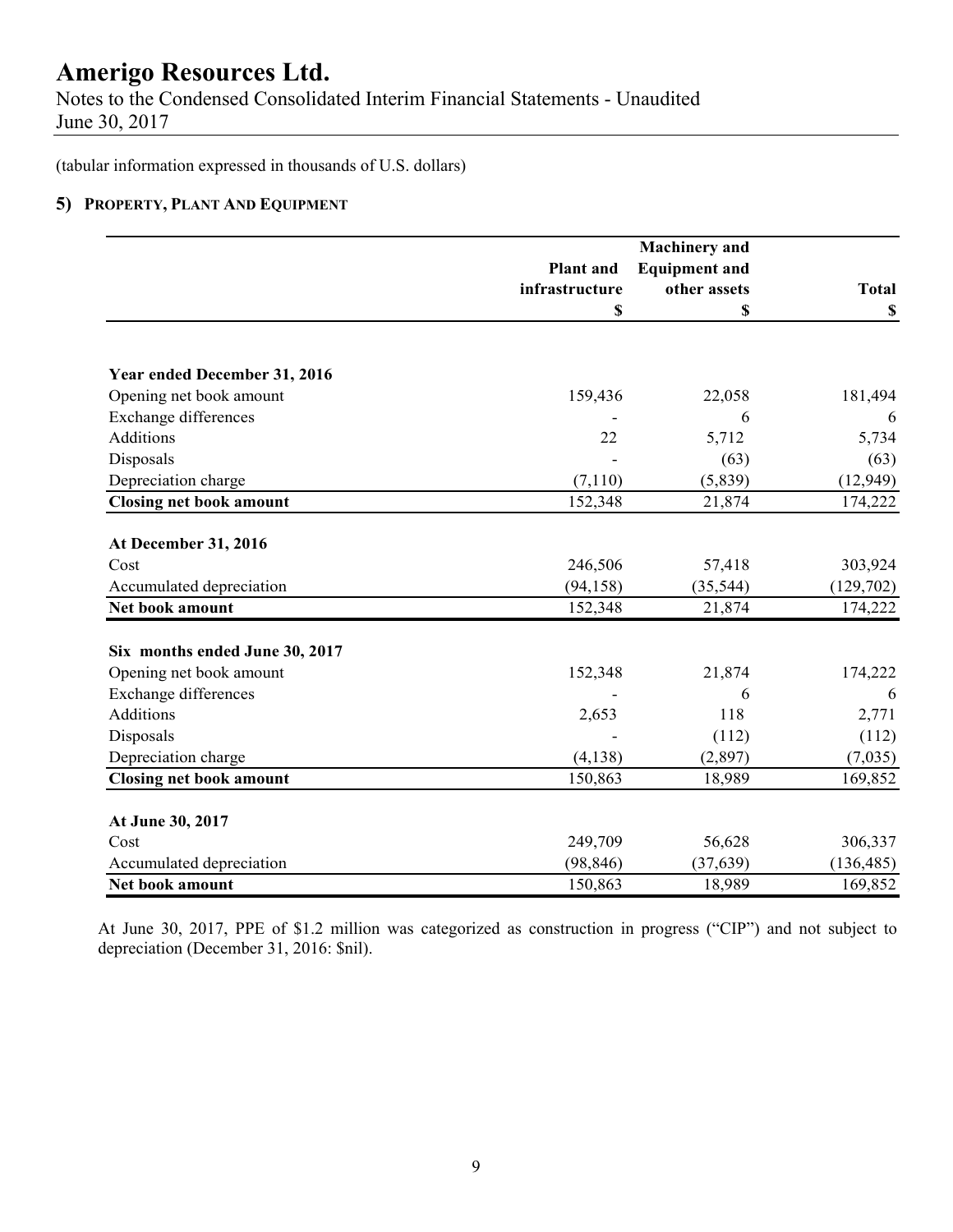Notes to the Condensed Consolidated Interim Financial Statements - Unaudited June 30, 2017

(tabular information expressed in thousands of U.S. dollars)

#### **5) PROPERTY, PLANT AND EQUIPMENT**

|                                |                  | <b>Machinery</b> and |              |  |
|--------------------------------|------------------|----------------------|--------------|--|
|                                | <b>Plant</b> and | <b>Equipment and</b> |              |  |
|                                | infrastructure   | other assets         | <b>Total</b> |  |
|                                | \$               | \$                   | \$           |  |
| Year ended December 31, 2016   |                  |                      |              |  |
| Opening net book amount        | 159,436          | 22,058               | 181,494      |  |
| <b>Exchange differences</b>    |                  | 6                    | 6            |  |
| Additions                      | 22               | 5,712                | 5,734        |  |
| Disposals                      |                  | (63)                 | (63)         |  |
| Depreciation charge            | (7,110)          | (5,839)              | (12, 949)    |  |
| <b>Closing net book amount</b> | 152,348          | 21,874               | 174,222      |  |
|                                |                  |                      |              |  |
| At December 31, 2016           |                  |                      |              |  |
| Cost                           | 246,506          | 57,418               | 303,924      |  |
| Accumulated depreciation       | (94, 158)        | (35, 544)            | (129,702)    |  |
| Net book amount                | 152,348          | 21,874               | 174,222      |  |
| Six months ended June 30, 2017 |                  |                      |              |  |
| Opening net book amount        | 152,348          | 21,874               | 174,222      |  |
| <b>Exchange differences</b>    |                  | 6                    | 6            |  |
| Additions                      | 2,653            | 118                  | 2,771        |  |
| Disposals                      |                  | (112)                | (112)        |  |
| Depreciation charge            | (4, 138)         | (2,897)              | (7,035)      |  |
| <b>Closing net book amount</b> | 150,863          | 18,989               | 169,852      |  |
| At June 30, 2017               |                  |                      |              |  |
| Cost                           | 249,709          | 56,628               | 306,337      |  |
| Accumulated depreciation       | (98, 846)        | (37, 639)            | (136, 485)   |  |
| Net book amount                | 150,863          | 18,989               | 169,852      |  |

At June 30, 2017, PPE of \$1.2 million was categorized as construction in progress ("CIP") and not subject to depreciation (December 31, 2016: \$nil).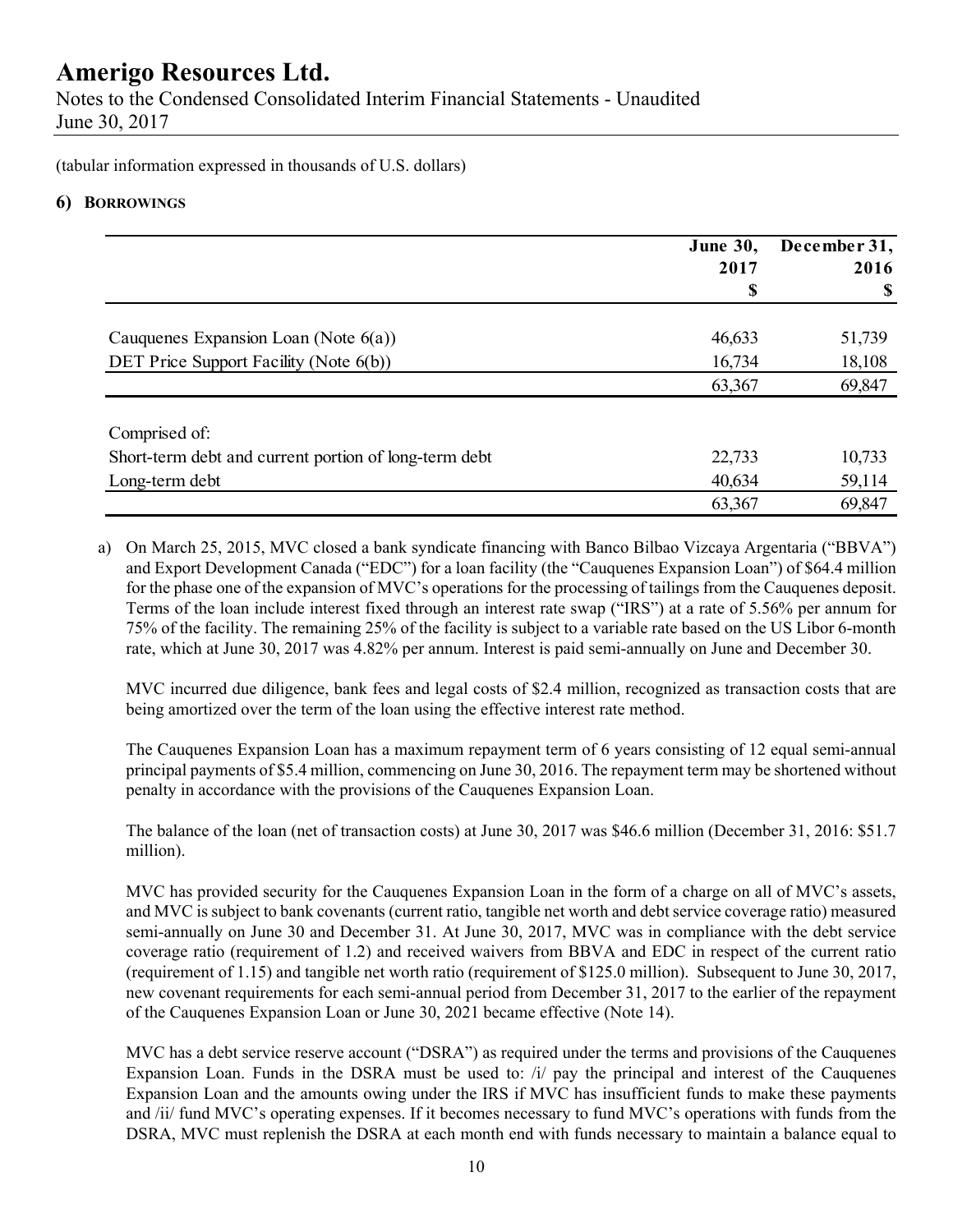Notes to the Condensed Consolidated Interim Financial Statements - Unaudited June 30, 2017

(tabular information expressed in thousands of U.S. dollars)

#### **6) BORROWINGS**

|                                                       | <b>June 30,</b><br>2017 | December 31,<br>2016 |
|-------------------------------------------------------|-------------------------|----------------------|
|                                                       | S                       | -S                   |
| Cauquenes Expansion Loan (Note $6(a)$ )               | 46,633                  | 51,739               |
| DET Price Support Facility (Note 6(b))                | 16,734                  | 18,108               |
|                                                       | 63,367                  | 69,847               |
| Comprised of:                                         |                         |                      |
| Short-term debt and current portion of long-term debt | 22,733                  | 10,733               |
| Long-term debt                                        | 40,634                  | 59,114               |
|                                                       | 63,367                  | 69,847               |

a) On March 25, 2015, MVC closed a bank syndicate financing with Banco Bilbao Vizcaya Argentaria ("BBVA") and Export Development Canada ("EDC") for a loan facility (the "Cauquenes Expansion Loan") of \$64.4 million for the phase one of the expansion of MVC's operations for the processing of tailings from the Cauquenes deposit. Terms of the loan include interest fixed through an interest rate swap ("IRS") at a rate of 5.56% per annum for 75% of the facility. The remaining 25% of the facility is subject to a variable rate based on the US Libor 6-month rate, which at June 30, 2017 was 4.82% per annum. Interest is paid semi-annually on June and December 30.

MVC incurred due diligence, bank fees and legal costs of \$2.4 million, recognized as transaction costs that are being amortized over the term of the loan using the effective interest rate method.

The Cauquenes Expansion Loan has a maximum repayment term of 6 years consisting of 12 equal semi-annual principal payments of \$5.4 million, commencing on June 30, 2016. The repayment term may be shortened without penalty in accordance with the provisions of the Cauquenes Expansion Loan.

The balance of the loan (net of transaction costs) at June 30, 2017 was \$46.6 million (December 31, 2016: \$51.7 million).

MVC has provided security for the Cauquenes Expansion Loan in the form of a charge on all of MVC's assets, and MVC is subject to bank covenants (current ratio, tangible net worth and debt service coverage ratio) measured semi-annually on June 30 and December 31. At June 30, 2017, MVC was in compliance with the debt service coverage ratio (requirement of 1.2) and received waivers from BBVA and EDC in respect of the current ratio (requirement of 1.15) and tangible net worth ratio (requirement of \$125.0 million). Subsequent to June 30, 2017, new covenant requirements for each semi-annual period from December 31, 2017 to the earlier of the repayment of the Cauquenes Expansion Loan or June 30, 2021 became effective (Note 14).

MVC has a debt service reserve account ("DSRA") as required under the terms and provisions of the Cauquenes Expansion Loan. Funds in the DSRA must be used to:  $\pi$  ay the principal and interest of the Cauquenes Expansion Loan and the amounts owing under the IRS if MVC has insufficient funds to make these payments and /ii/ fund MVC's operating expenses. If it becomes necessary to fund MVC's operations with funds from the DSRA, MVC must replenish the DSRA at each month end with funds necessary to maintain a balance equal to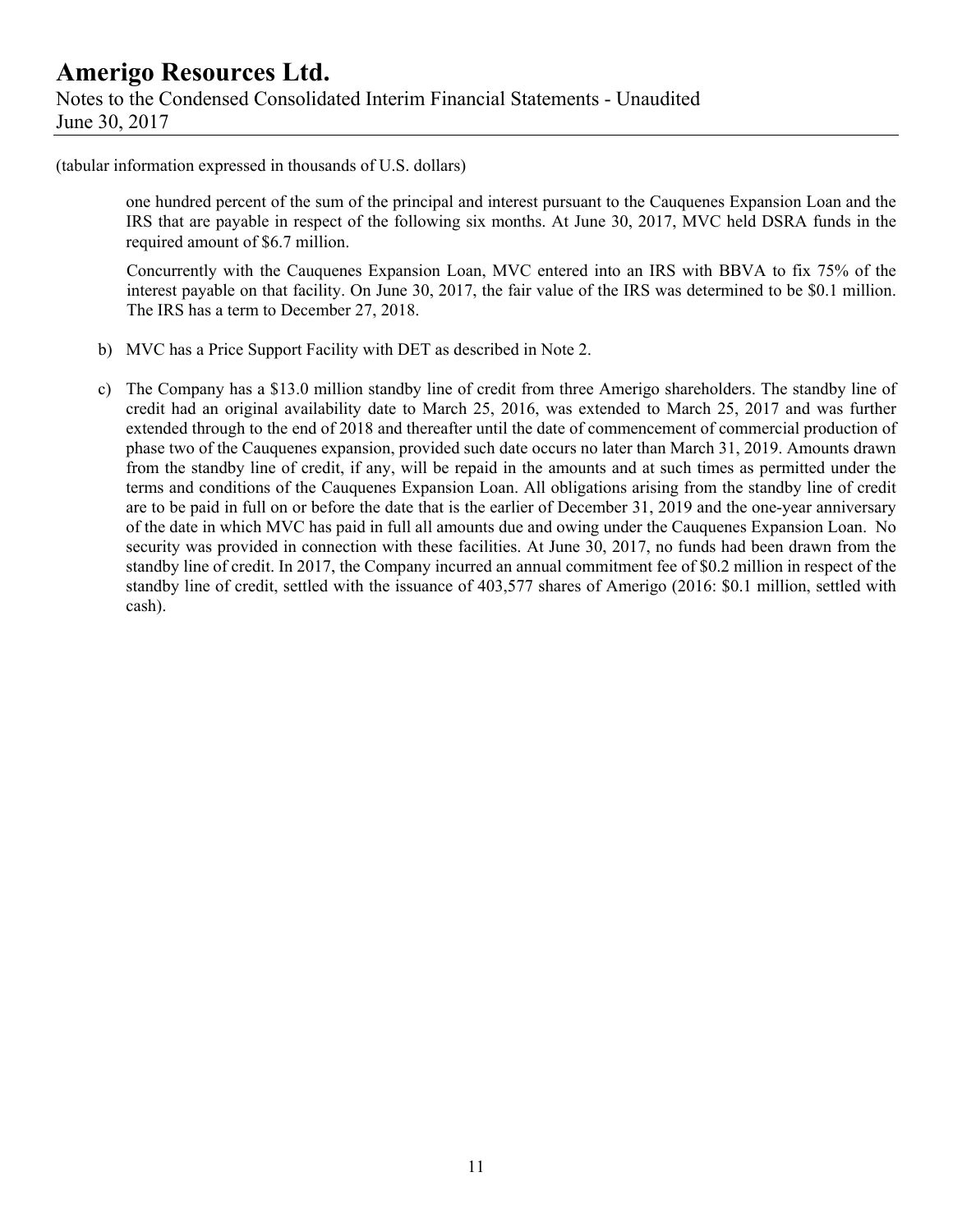(tabular information expressed in thousands of U.S. dollars)

one hundred percent of the sum of the principal and interest pursuant to the Cauquenes Expansion Loan and the IRS that are payable in respect of the following six months. At June 30, 2017, MVC held DSRA funds in the required amount of \$6.7 million.

Concurrently with the Cauquenes Expansion Loan, MVC entered into an IRS with BBVA to fix 75% of the interest payable on that facility. On June 30, 2017, the fair value of the IRS was determined to be \$0.1 million. The IRS has a term to December 27, 2018.

- b) MVC has a Price Support Facility with DET as described in Note 2.
- c) The Company has a \$13.0 million standby line of credit from three Amerigo shareholders. The standby line of credit had an original availability date to March 25, 2016, was extended to March 25, 2017 and was further extended through to the end of 2018 and thereafter until the date of commencement of commercial production of phase two of the Cauquenes expansion, provided such date occurs no later than March 31, 2019. Amounts drawn from the standby line of credit, if any, will be repaid in the amounts and at such times as permitted under the terms and conditions of the Cauquenes Expansion Loan. All obligations arising from the standby line of credit are to be paid in full on or before the date that is the earlier of December 31, 2019 and the one-year anniversary of the date in which MVC has paid in full all amounts due and owing under the Cauquenes Expansion Loan. No security was provided in connection with these facilities. At June 30, 2017, no funds had been drawn from the standby line of credit. In 2017, the Company incurred an annual commitment fee of \$0.2 million in respect of the standby line of credit, settled with the issuance of 403,577 shares of Amerigo (2016: \$0.1 million, settled with cash).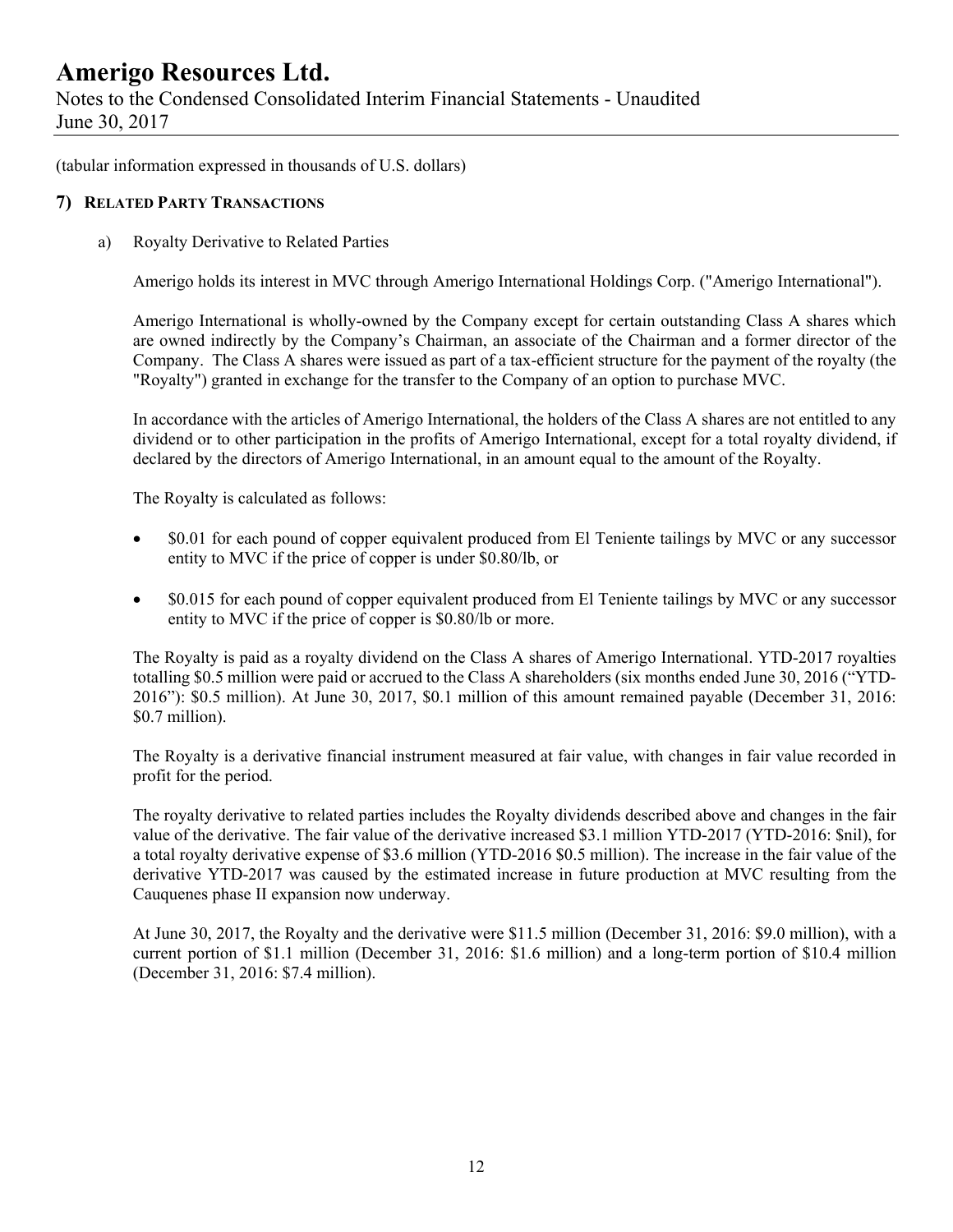Notes to the Condensed Consolidated Interim Financial Statements - Unaudited June 30, 2017

(tabular information expressed in thousands of U.S. dollars)

#### **7) RELATED PARTY TRANSACTIONS**

a) Royalty Derivative to Related Parties

Amerigo holds its interest in MVC through Amerigo International Holdings Corp. ("Amerigo International").

Amerigo International is wholly-owned by the Company except for certain outstanding Class A shares which are owned indirectly by the Company's Chairman, an associate of the Chairman and a former director of the Company. The Class A shares were issued as part of a tax-efficient structure for the payment of the royalty (the "Royalty") granted in exchange for the transfer to the Company of an option to purchase MVC.

In accordance with the articles of Amerigo International, the holders of the Class A shares are not entitled to any dividend or to other participation in the profits of Amerigo International, except for a total royalty dividend, if declared by the directors of Amerigo International, in an amount equal to the amount of the Royalty.

The Royalty is calculated as follows:

- \$0.01 for each pound of copper equivalent produced from El Teniente tailings by MVC or any successor entity to MVC if the price of copper is under \$0.80/lb, or
- \$0.015 for each pound of copper equivalent produced from El Teniente tailings by MVC or any successor entity to MVC if the price of copper is \$0.80/lb or more.

The Royalty is paid as a royalty dividend on the Class A shares of Amerigo International. YTD-2017 royalties totalling \$0.5 million were paid or accrued to the Class A shareholders (six months ended June 30, 2016 ("YTD-2016"): \$0.5 million). At June 30, 2017, \$0.1 million of this amount remained payable (December 31, 2016: \$0.7 million).

The Royalty is a derivative financial instrument measured at fair value, with changes in fair value recorded in profit for the period.

The royalty derivative to related parties includes the Royalty dividends described above and changes in the fair value of the derivative. The fair value of the derivative increased \$3.1 million YTD-2017 (YTD-2016: \$nil), for a total royalty derivative expense of \$3.6 million (YTD-2016 \$0.5 million). The increase in the fair value of the derivative YTD-2017 was caused by the estimated increase in future production at MVC resulting from the Cauquenes phase II expansion now underway.

At June 30, 2017, the Royalty and the derivative were \$11.5 million (December 31, 2016: \$9.0 million), with a current portion of \$1.1 million (December 31, 2016: \$1.6 million) and a long-term portion of \$10.4 million (December 31, 2016: \$7.4 million).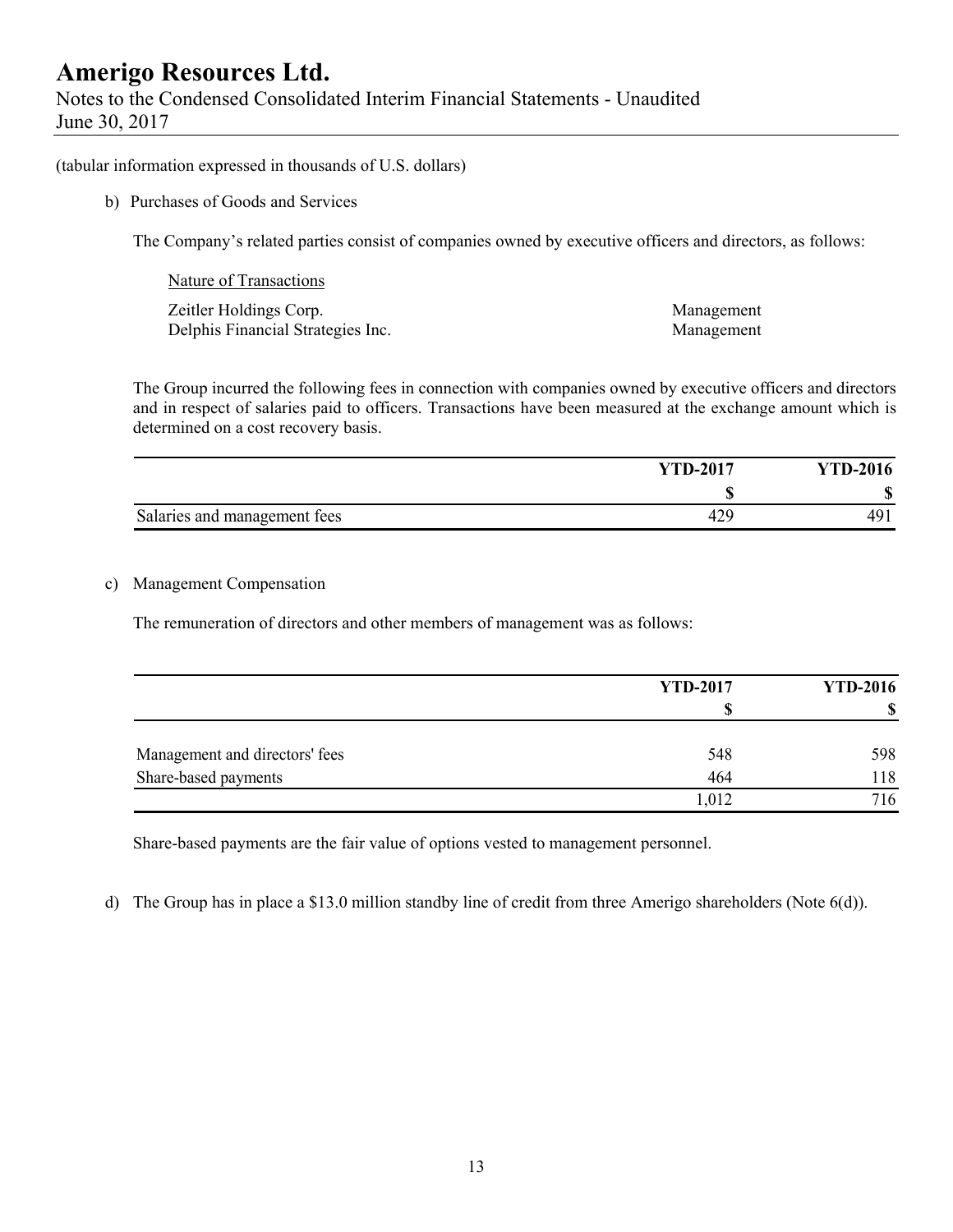Notes to the Condensed Consolidated Interim Financial Statements - Unaudited June 30, 2017

(tabular information expressed in thousands of U.S. dollars)

b) Purchases of Goods and Services

The Company's related parties consist of companies owned by executive officers and directors, as follows:

| Nature of Transactions            |            |
|-----------------------------------|------------|
| Zeitler Holdings Corp.            | Management |
| Delphis Financial Strategies Inc. | Management |

The Group incurred the following fees in connection with companies owned by executive officers and directors and in respect of salaries paid to officers. Transactions have been measured at the exchange amount which is determined on a cost recovery basis.

|                              | <b>YTD-2017</b> | <b>YTD-2016</b> |
|------------------------------|-----------------|-----------------|
|                              |                 | <b>CD</b><br>۱D |
| Salaries and management fees | 42.             | 49              |

#### c) Management Compensation

The remuneration of directors and other members of management was as follows:

|                                | <b>YTD-2017</b> | <b>YTD-2016</b> |  |
|--------------------------------|-----------------|-----------------|--|
|                                |                 |                 |  |
| Management and directors' fees | 548             | 598             |  |
| Share-based payments           | 464             | 118             |  |
|                                | 1,012           | 716             |  |

Share-based payments are the fair value of options vested to management personnel.

d) The Group has in place a \$13.0 million standby line of credit from three Amerigo shareholders (Note 6(d)).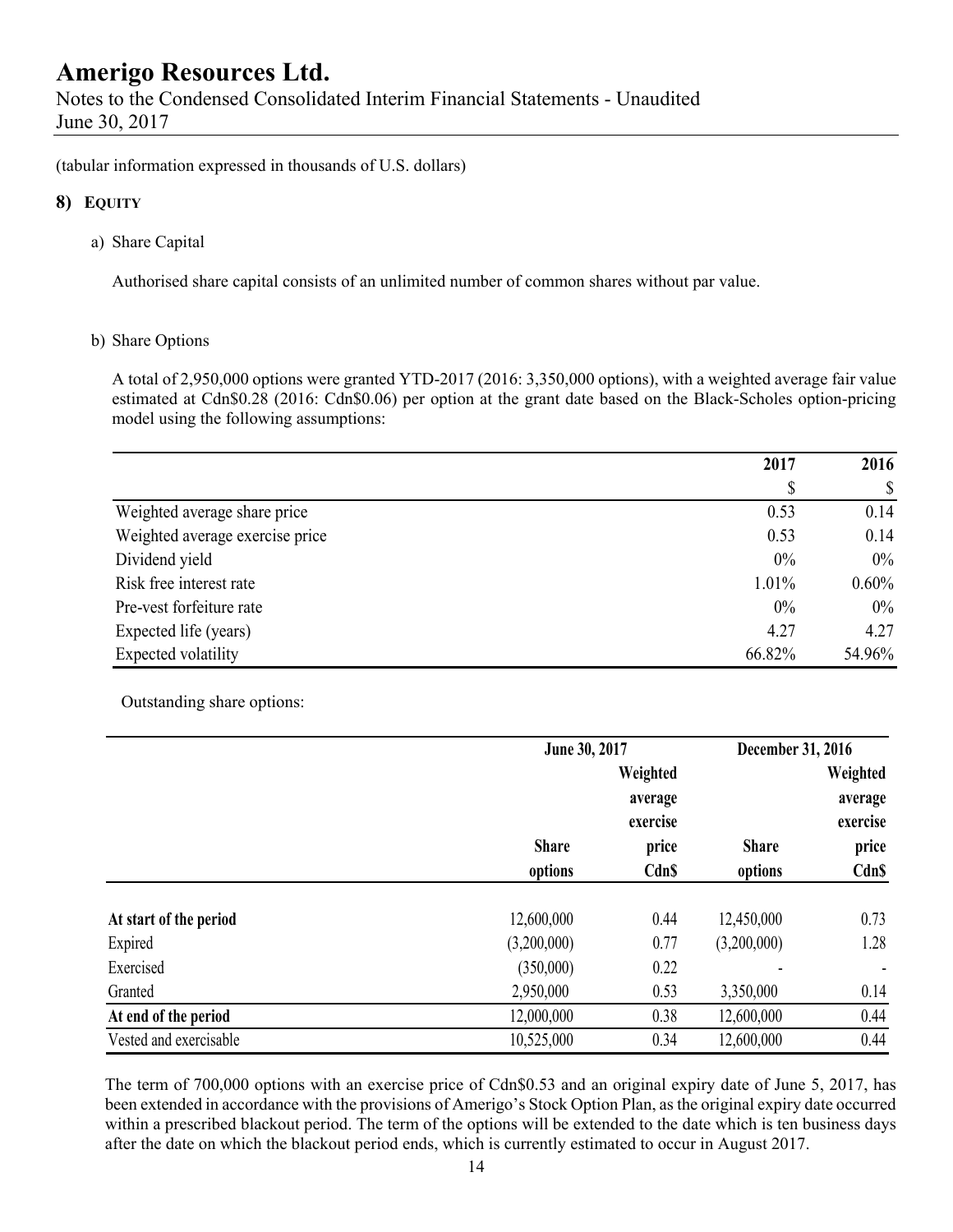Notes to the Condensed Consolidated Interim Financial Statements - Unaudited June 30, 2017

(tabular information expressed in thousands of U.S. dollars)

#### **8) EQUITY**

a) Share Capital

Authorised share capital consists of an unlimited number of common shares without par value.

#### b) Share Options

A total of 2,950,000 options were granted YTD-2017 (2016: 3,350,000 options), with a weighted average fair value estimated at Cdn\$0.28 (2016: Cdn\$0.06) per option at the grant date based on the Black-Scholes option-pricing model using the following assumptions:

|                                 | 2017   | 2016                      |
|---------------------------------|--------|---------------------------|
|                                 | \$     | $\boldsymbol{\mathsf{S}}$ |
| Weighted average share price    | 0.53   | 0.14                      |
| Weighted average exercise price | 0.53   | 0.14                      |
| Dividend yield                  | 0%     | $0\%$                     |
| Risk free interest rate         | 1.01%  | $0.60\%$                  |
| Pre-vest forfeiture rate        | 0%     | $0\%$                     |
| Expected life (years)           | 4.27   | 4.27                      |
| Expected volatility             | 66.82% | 54.96%                    |

Outstanding share options:

|                        |              | June 30, 2017                   |              |                                 |
|------------------------|--------------|---------------------------------|--------------|---------------------------------|
|                        |              | Weighted<br>average<br>exercise |              | Weighted<br>average<br>exercise |
|                        | <b>Share</b> | price                           | <b>Share</b> | price                           |
|                        | options      | <b>CdnS</b>                     | options      | Cdn\$                           |
| At start of the period | 12,600,000   | 0.44                            | 12,450,000   | 0.73                            |
| Expired                | (3,200,000)  | 0.77                            | (3,200,000)  | 1.28                            |
| Exercised              | (350,000)    | 0.22                            |              |                                 |
| Granted                | 2,950,000    | 0.53                            | 3,350,000    | 0.14                            |
| At end of the period   | 12,000,000   | 0.38                            | 12,600,000   | 0.44                            |
| Vested and exercisable | 10,525,000   | 0.34                            | 12,600,000   | 0.44                            |

The term of 700,000 options with an exercise price of Cdn\$0.53 and an original expiry date of June 5, 2017, has been extended in accordance with the provisions of Amerigo's Stock Option Plan, as the original expiry date occurred within a prescribed blackout period. The term of the options will be extended to the date which is ten business days after the date on which the blackout period ends, which is currently estimated to occur in August 2017.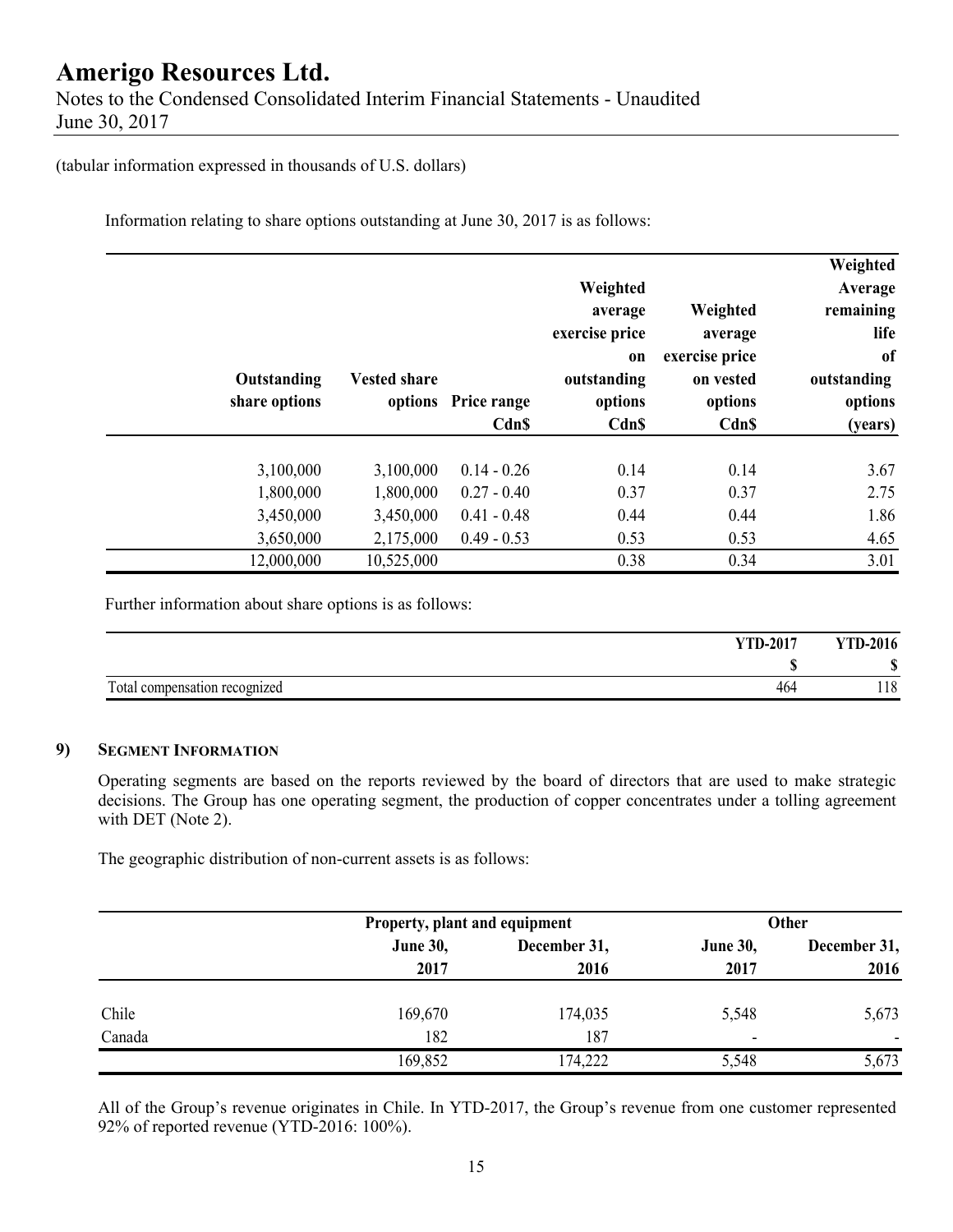Notes to the Condensed Consolidated Interim Financial Statements - Unaudited June 30, 2017

(tabular information expressed in thousands of U.S. dollars)

Information relating to share options outstanding at June 30, 2017 is as follows:

| Weighted<br>Average<br>remaining<br>life<br><sub>of</sub><br>outstanding<br>options<br>(years) | Weighted<br>average<br>exercise price<br>on vested<br>options<br><b>Cdn\$</b> | Weighted<br>average<br>exercise price<br>on<br>outstanding<br>options<br>Cdn\$ | options Price range<br>Cdn\$ | <b>Vested share</b> | Outstanding<br>share options |  |
|------------------------------------------------------------------------------------------------|-------------------------------------------------------------------------------|--------------------------------------------------------------------------------|------------------------------|---------------------|------------------------------|--|
| 3.67                                                                                           | 0.14                                                                          | 0.14                                                                           | $0.14 - 0.26$                | 3,100,000           | 3,100,000                    |  |
| 2.75                                                                                           | 0.37                                                                          | 0.37                                                                           | $0.27 - 0.40$                | 1,800,000           | 1,800,000                    |  |
| 1.86                                                                                           | 0.44                                                                          | 0.44                                                                           | $0.41 - 0.48$                | 3,450,000           | 3,450,000                    |  |
| 4.65                                                                                           | 0.53                                                                          | 0.53                                                                           | $0.49 - 0.53$                | 2,175,000           | 3,650,000                    |  |
| 3.01                                                                                           | 0.34                                                                          | 0.38                                                                           |                              | 10,525,000          | 12,000,000                   |  |

Further information about share options is as follows:

| <b>YTD-2017</b>                           | <b>YTD-2016</b>  |
|-------------------------------------------|------------------|
|                                           |                  |
| Total<br>l compensation recognized<br>464 | <b>10</b><br>110 |

#### **9) SEGMENT INFORMATION**

Operating segments are based on the reports reviewed by the board of directors that are used to make strategic decisions. The Group has one operating segment, the production of copper concentrates under a tolling agreement with DET (Note 2).

The geographic distribution of non-current assets is as follows:

|        |                 | Property, plant and equipment |                 | <b>Other</b>   |
|--------|-----------------|-------------------------------|-----------------|----------------|
|        | <b>June 30,</b> | December 31,                  | <b>June 30,</b> | December 31,   |
|        | 2017            | 2016                          | 2017            | 2016           |
| Chile  | 169,670         | 174,035                       | 5,548           | 5,673          |
| Canada | 182             | 187                           | ٠               | $\blacksquare$ |
|        | 169,852         | 174,222                       | 5,548           | 5,673          |

All of the Group's revenue originates in Chile. In YTD-2017, the Group's revenue from one customer represented 92% of reported revenue (YTD-2016: 100%).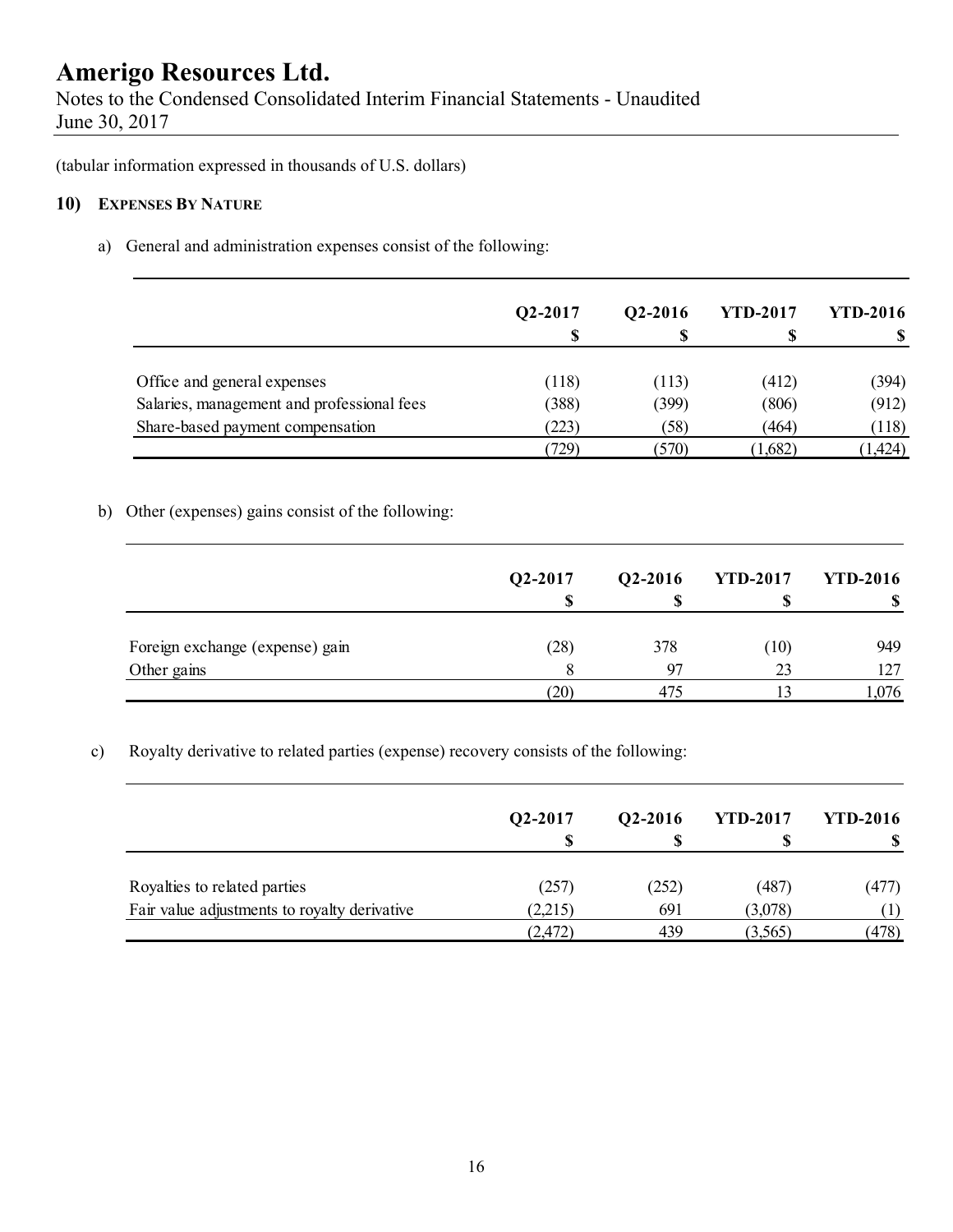Notes to the Condensed Consolidated Interim Financial Statements - Unaudited June 30, 2017

(tabular information expressed in thousands of U.S. dollars)

#### **10) EXPENSES BY NATURE**

a) General and administration expenses consist of the following:

|                                            | Q2-2017 | Q2-2016 | <b>YTD-2017</b> | <b>YTD-2016</b> |
|--------------------------------------------|---------|---------|-----------------|-----------------|
|                                            | S       |         |                 |                 |
|                                            |         |         |                 |                 |
| Office and general expenses                | (118)   | (113)   | (412)           | (394)           |
| Salaries, management and professional fees | (388)   | (399)   | (806)           | (912)           |
| Share-based payment compensation           | (223)   | (58)    | (464)           | (118)           |
|                                            | (729)   | (570)   | (1,682)         | (1,424)         |

#### b) Other (expenses) gains consist of the following:

|                                 | Q2-2017 | Q2-2016 | <b>YTD-2017</b> | <b>YTD-2016</b> |
|---------------------------------|---------|---------|-----------------|-----------------|
|                                 |         |         |                 |                 |
| Foreign exchange (expense) gain | (28)    | 378     | (10)            | 949             |
| Other gains                     |         | 97      | 23              | 127             |
|                                 | 20)     | 475     |                 | 1,076           |

c) Royalty derivative to related parties (expense) recovery consists of the following:

|                                              | Q2-2017 | Q2-2016 | <b>YTD-2017</b> | <b>YTD-2016</b> |
|----------------------------------------------|---------|---------|-----------------|-----------------|
| Royalties to related parties                 | (257)   | (252)   | (487)           | (477)           |
| Fair value adjustments to royalty derivative | (2,215) | 691     | (3,078)         |                 |
|                                              | (2,472) | 439     | (3,565)         | (478)           |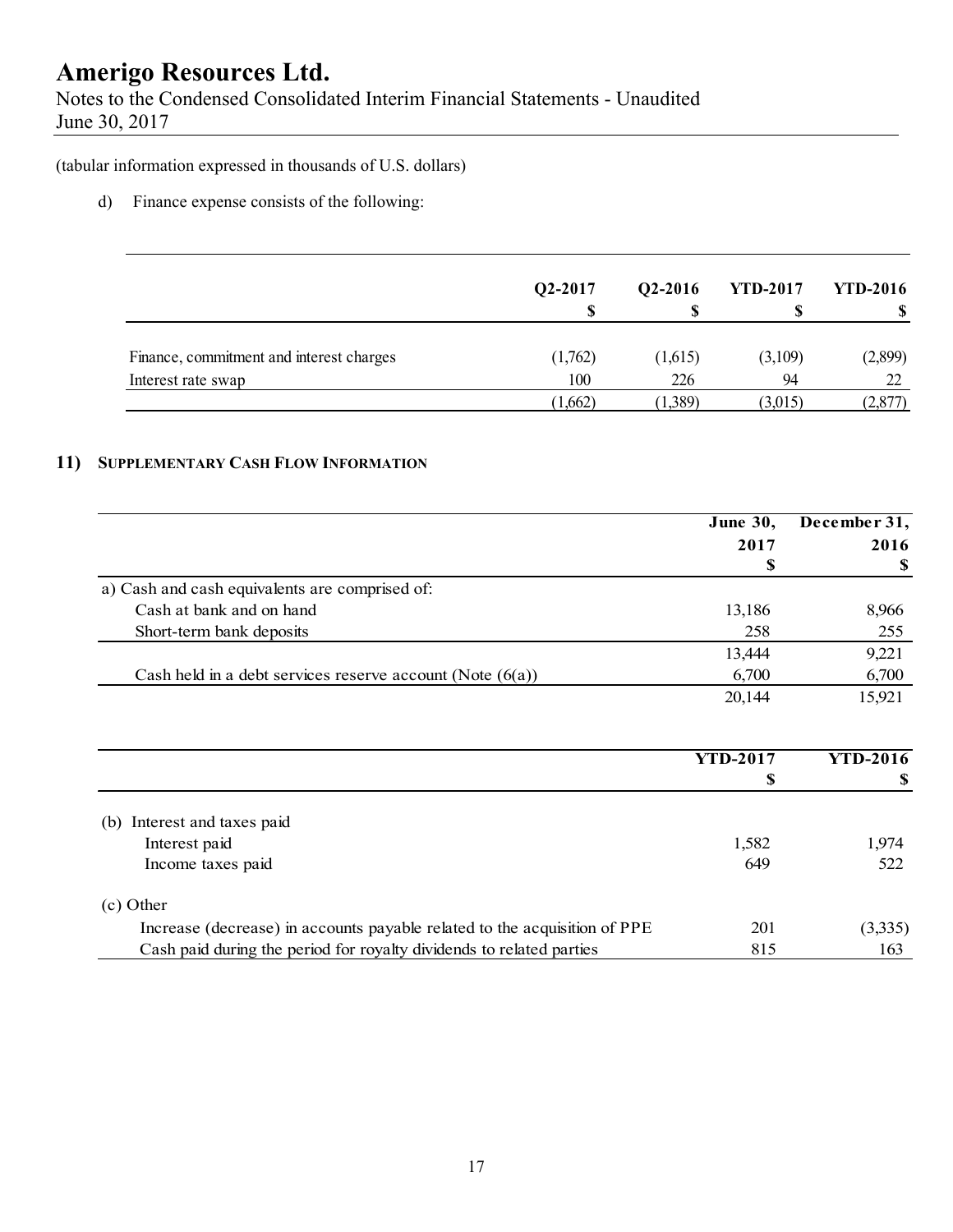Notes to the Condensed Consolidated Interim Financial Statements - Unaudited June 30, 2017

(tabular information expressed in thousands of U.S. dollars)

d) Finance expense consists of the following:

|                                          | Q2-2017 | $Q2-2016$ | <b>YTD-2017</b> | <b>YTD-2016</b> |
|------------------------------------------|---------|-----------|-----------------|-----------------|
| Finance, commitment and interest charges | (1,762) | (1,615)   | (3,109)         | (2,899)         |
| Interest rate swap                       | 100     | 226       | 94              |                 |
|                                          | (1,662) | (1,389)   | (3,015)         | 2,877           |

#### **11) SUPPLEMENTARY CASH FLOW INFORMATION**

|                                                               | <b>June 30,</b> | December 31, |  |
|---------------------------------------------------------------|-----------------|--------------|--|
|                                                               | 2017            | 2016         |  |
|                                                               | S               | S            |  |
| a) Cash and cash equivalents are comprised of:                |                 |              |  |
| Cash at bank and on hand                                      | 13,186          | 8,966        |  |
| Short-term bank deposits                                      | 258             | 255          |  |
|                                                               | 13,444          | 9,221        |  |
| Cash held in a debt services reserve account (Note $(6(a))$ ) | 6,700           | 6,700        |  |
|                                                               | 20,144          | 15,921       |  |

|                                                                           | YTD-2017 | <b>YTD-2016</b> |
|---------------------------------------------------------------------------|----------|-----------------|
|                                                                           | S        |                 |
|                                                                           |          |                 |
| Interest and taxes paid<br>(b)                                            |          |                 |
| Interest paid                                                             | 1,582    | 1,974           |
| Income taxes paid                                                         | 649      | 522             |
| (c) Other                                                                 |          |                 |
| Increase (decrease) in accounts payable related to the acquisition of PPE | 201      | (3,335)         |
| Cash paid during the period for royalty dividends to related parties      | 815      | 163             |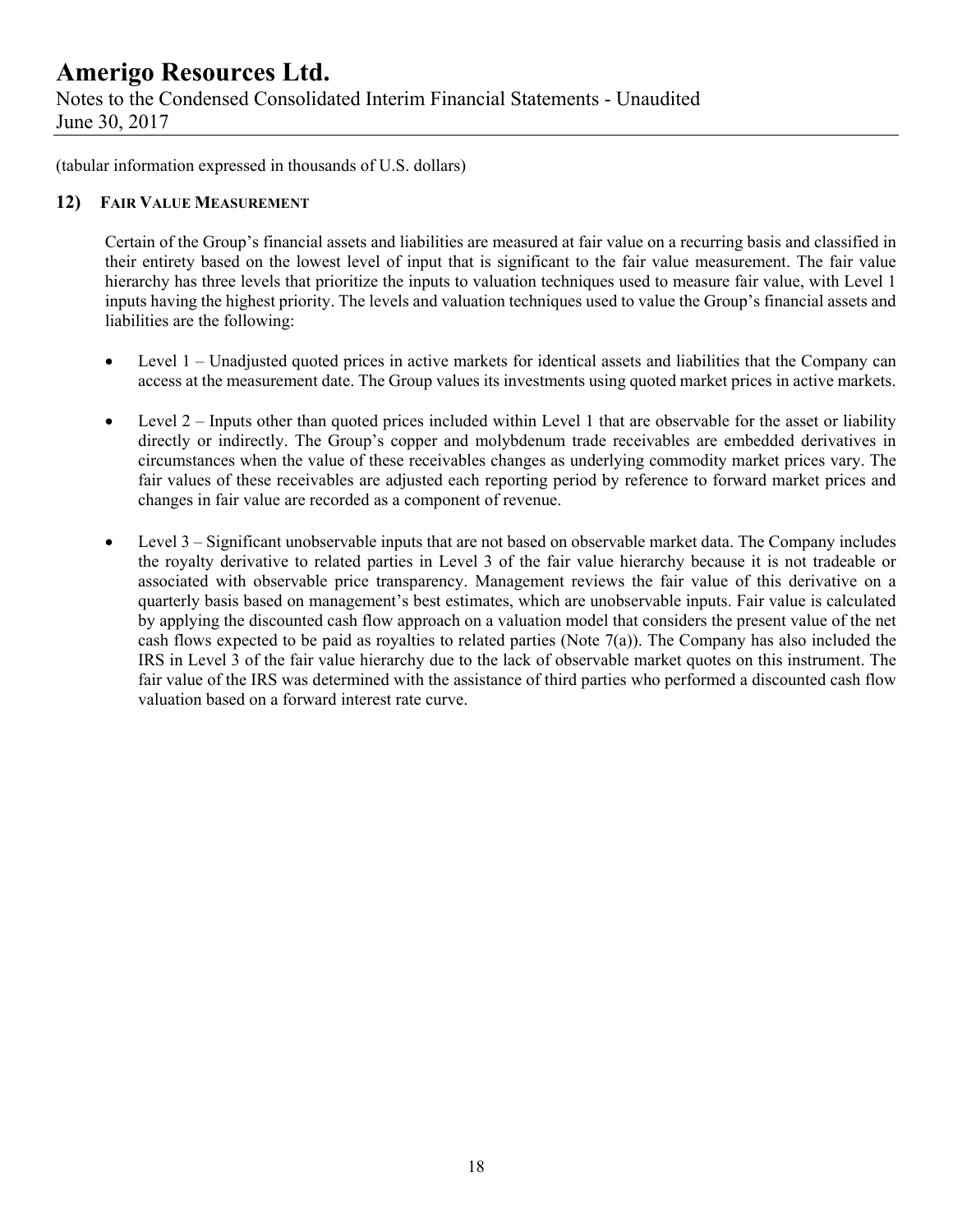Notes to the Condensed Consolidated Interim Financial Statements - Unaudited June 30, 2017

(tabular information expressed in thousands of U.S. dollars)

#### **12) FAIR VALUE MEASUREMENT**

Certain of the Group's financial assets and liabilities are measured at fair value on a recurring basis and classified in their entirety based on the lowest level of input that is significant to the fair value measurement. The fair value hierarchy has three levels that prioritize the inputs to valuation techniques used to measure fair value, with Level 1 inputs having the highest priority. The levels and valuation techniques used to value the Group's financial assets and liabilities are the following:

- Level 1 Unadjusted quoted prices in active markets for identical assets and liabilities that the Company can access at the measurement date. The Group values its investments using quoted market prices in active markets.
- $\bullet$  Level 2 Inputs other than quoted prices included within Level 1 that are observable for the asset or liability directly or indirectly. The Group's copper and molybdenum trade receivables are embedded derivatives in circumstances when the value of these receivables changes as underlying commodity market prices vary. The fair values of these receivables are adjusted each reporting period by reference to forward market prices and changes in fair value are recorded as a component of revenue.
- Level 3 Significant unobservable inputs that are not based on observable market data. The Company includes the royalty derivative to related parties in Level 3 of the fair value hierarchy because it is not tradeable or associated with observable price transparency. Management reviews the fair value of this derivative on a quarterly basis based on management's best estimates, which are unobservable inputs. Fair value is calculated by applying the discounted cash flow approach on a valuation model that considers the present value of the net cash flows expected to be paid as royalties to related parties (Note  $7(a)$ ). The Company has also included the IRS in Level 3 of the fair value hierarchy due to the lack of observable market quotes on this instrument. The fair value of the IRS was determined with the assistance of third parties who performed a discounted cash flow valuation based on a forward interest rate curve.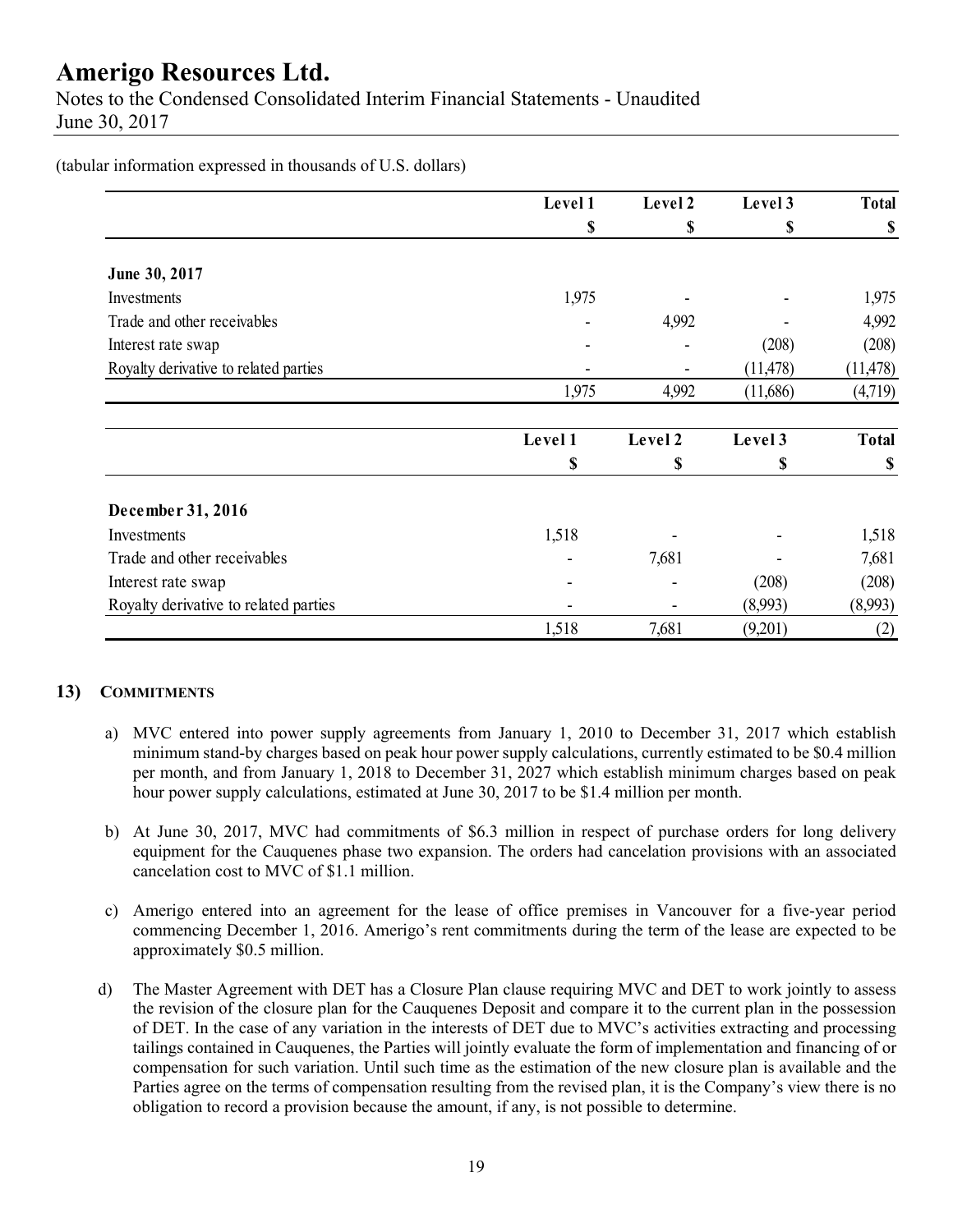Notes to the Condensed Consolidated Interim Financial Statements - Unaudited June 30, 2017

(tabular information expressed in thousands of U.S. dollars)

|                                       | Level 1 | Level 2 | Level 3   | <b>Total</b> |
|---------------------------------------|---------|---------|-----------|--------------|
|                                       | \$      | \$      | \$        | \$           |
| June 30, 2017                         |         |         |           |              |
| Investments                           | 1,975   |         |           | 1,975        |
| Trade and other receivables           |         | 4,992   |           | 4,992        |
| Interest rate swap                    |         |         | (208)     | (208)        |
| Royalty derivative to related parties |         |         | (11, 478) | (11, 478)    |
|                                       | 1,975   | 4,992   | (11,686)  | (4,719)      |
|                                       | Level 1 | Level 2 | Level 3   | <b>Total</b> |
|                                       | \$      | \$      | \$        | \$           |
| December 31, 2016                     |         |         |           |              |
| Investments                           | 1,518   |         |           | 1,518        |
| Trade and other receivables           |         | 7,681   |           | 7,681        |
| Interest rate swap                    |         |         | (208)     | (208)        |
| Royalty derivative to related parties |         |         | (8,993)   | (8,993)      |
|                                       | 1,518   | 7,681   | (9,201)   | (2)          |

#### **13) COMMITMENTS**

- a) MVC entered into power supply agreements from January 1, 2010 to December 31, 2017 which establish minimum stand-by charges based on peak hour power supply calculations, currently estimated to be \$0.4 million per month, and from January 1, 2018 to December 31, 2027 which establish minimum charges based on peak hour power supply calculations, estimated at June 30, 2017 to be \$1.4 million per month.
- b) At June 30, 2017, MVC had commitments of \$6.3 million in respect of purchase orders for long delivery equipment for the Cauquenes phase two expansion. The orders had cancelation provisions with an associated cancelation cost to MVC of \$1.1 million.
- c) Amerigo entered into an agreement for the lease of office premises in Vancouver for a five-year period commencing December 1, 2016. Amerigo's rent commitments during the term of the lease are expected to be approximately \$0.5 million.
- d) The Master Agreement with DET has a Closure Plan clause requiring MVC and DET to work jointly to assess the revision of the closure plan for the Cauquenes Deposit and compare it to the current plan in the possession of DET. In the case of any variation in the interests of DET due to MVC's activities extracting and processing tailings contained in Cauquenes, the Parties will jointly evaluate the form of implementation and financing of or compensation for such variation. Until such time as the estimation of the new closure plan is available and the Parties agree on the terms of compensation resulting from the revised plan, it is the Company's view there is no obligation to record a provision because the amount, if any, is not possible to determine.